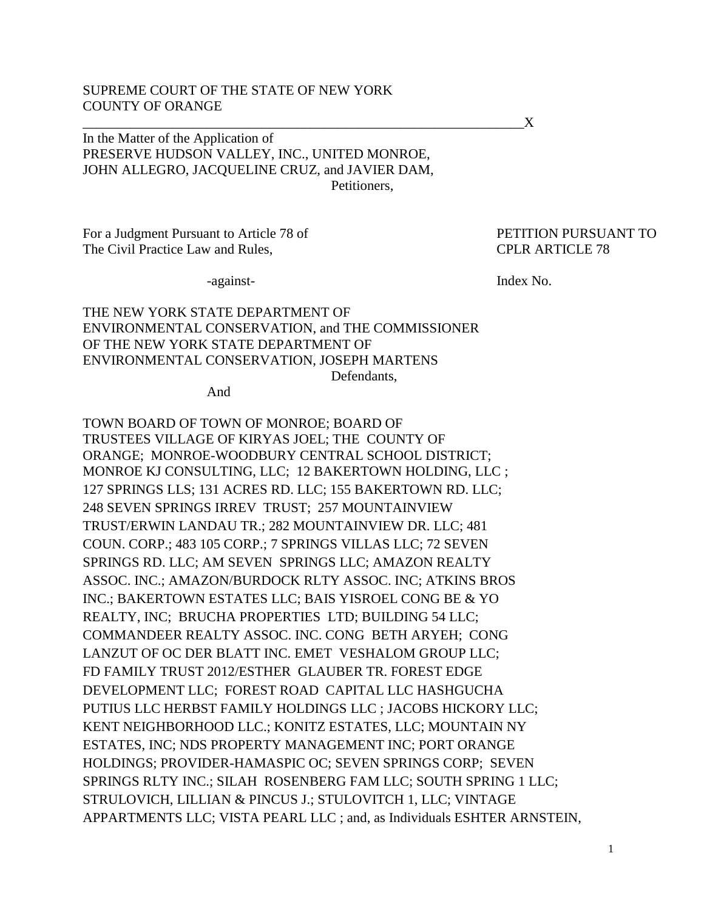## SUPREME COURT OF THE STATE OF NEW YORK COUNTY OF ORANGE

In the Matter of the Application of PRESERVE HUDSON VALLEY, INC., UNITED MONROE, JOHN ALLEGRO, JACQUELINE CRUZ, and JAVIER DAM, Petitioners,

 $\chi$ 

For a Judgment Pursuant to Article 78 of PETITION PURSUANT TO The Civil Practice Law and Rules, CPLR ARTICLE 78

-against-<br>Index No.

#### THE NEW YORK STATE DEPARTMENT OF ENVIRONMENTAL CONSERVATION, and THE COMMISSIONER OF THE NEW YORK STATE DEPARTMENT OF ENVIRONMENTAL CONSERVATION, JOSEPH MARTENS Defendants,

And

TOWN BOARD OF TOWN OF MONROE; BOARD OF TRUSTEES VILLAGE OF KIRYAS JOEL; THE COUNTY OF ORANGE; MONROE-WOODBURY CENTRAL SCHOOL DISTRICT; MONROE KJ CONSULTING, LLC; 12 BAKERTOWN HOLDING, LLC ; 127 SPRINGS LLS; 131 ACRES RD. LLC; 155 BAKERTOWN RD. LLC; 248 SEVEN SPRINGS IRREV TRUST; 257 MOUNTAINVIEW TRUST/ERWIN LANDAU TR.; 282 MOUNTAINVIEW DR. LLC; 481 COUN. CORP.; 483 105 CORP.; 7 SPRINGS VILLAS LLC; 72 SEVEN SPRINGS RD. LLC; AM SEVEN SPRINGS LLC; AMAZON REALTY ASSOC. INC.; AMAZON/BURDOCK RLTY ASSOC. INC; ATKINS BROS INC.; BAKERTOWN ESTATES LLC; BAIS YISROEL CONG BE & YO REALTY, INC; BRUCHA PROPERTIES LTD; BUILDING 54 LLC; COMMANDEER REALTY ASSOC. INC. CONG BETH ARYEH; CONG LANZUT OF OC DER BLATT INC. EMET VESHALOM GROUP LLC; FD FAMILY TRUST 2012/ESTHER GLAUBER TR. FOREST EDGE DEVELOPMENT LLC; FOREST ROAD CAPITAL LLC HASHGUCHA PUTIUS LLC HERBST FAMILY HOLDINGS LLC ; JACOBS HICKORY LLC; KENT NEIGHBORHOOD LLC.; KONITZ ESTATES, LLC; MOUNTAIN NY ESTATES, INC; NDS PROPERTY MANAGEMENT INC; PORT ORANGE HOLDINGS; PROVIDER-HAMASPIC OC; SEVEN SPRINGS CORP; SEVEN SPRINGS RLTY INC.; SILAH ROSENBERG FAM LLC; SOUTH SPRING 1 LLC; STRULOVICH, LILLIAN & PINCUS J.; STULOVITCH 1, LLC; VINTAGE APPARTMENTS LLC; VISTA PEARL LLC ; and, as Individuals ESHTER ARNSTEIN,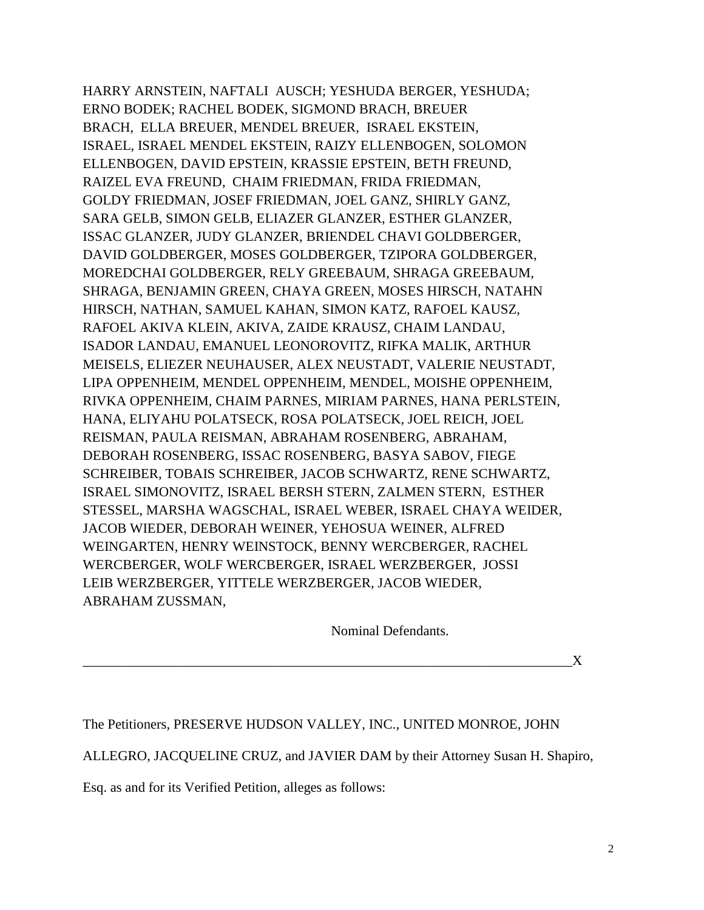HARRY ARNSTEIN, NAFTALI AUSCH; YESHUDA BERGER, YESHUDA; ERNO BODEK; RACHEL BODEK, SIGMOND BRACH, BREUER BRACH, ELLA BREUER, MENDEL BREUER, ISRAEL EKSTEIN, ISRAEL, ISRAEL MENDEL EKSTEIN, RAIZY ELLENBOGEN, SOLOMON ELLENBOGEN, DAVID EPSTEIN, KRASSIE EPSTEIN, BETH FREUND, RAIZEL EVA FREUND, CHAIM FRIEDMAN, FRIDA FRIEDMAN, GOLDY FRIEDMAN, JOSEF FRIEDMAN, JOEL GANZ, SHIRLY GANZ, SARA GELB, SIMON GELB, ELIAZER GLANZER, ESTHER GLANZER, ISSAC GLANZER, JUDY GLANZER, BRIENDEL CHAVI GOLDBERGER, DAVID GOLDBERGER, MOSES GOLDBERGER, TZIPORA GOLDBERGER, MOREDCHAI GOLDBERGER, RELY GREEBAUM, SHRAGA GREEBAUM, SHRAGA, BENJAMIN GREEN, CHAYA GREEN, MOSES HIRSCH, NATAHN HIRSCH, NATHAN, SAMUEL KAHAN, SIMON KATZ, RAFOEL KAUSZ, RAFOEL AKIVA KLEIN, AKIVA, ZAIDE KRAUSZ, CHAIM LANDAU, ISADOR LANDAU, EMANUEL LEONOROVITZ, RIFKA MALIK, ARTHUR MEISELS, ELIEZER NEUHAUSER, ALEX NEUSTADT, VALERIE NEUSTADT, LIPA OPPENHEIM, MENDEL OPPENHEIM, MENDEL, MOISHE OPPENHEIM, RIVKA OPPENHEIM, CHAIM PARNES, MIRIAM PARNES, HANA PERLSTEIN, HANA, ELIYAHU POLATSECK, ROSA POLATSECK, JOEL REICH, JOEL REISMAN, PAULA REISMAN, ABRAHAM ROSENBERG, ABRAHAM, DEBORAH ROSENBERG, ISSAC ROSENBERG, BASYA SABOV, FIEGE SCHREIBER, TOBAIS SCHREIBER, JACOB SCHWARTZ, RENE SCHWARTZ, ISRAEL SIMONOVITZ, ISRAEL BERSH STERN, ZALMEN STERN, ESTHER STESSEL, MARSHA WAGSCHAL, ISRAEL WEBER, ISRAEL CHAYA WEIDER, JACOB WIEDER, DEBORAH WEINER, YEHOSUA WEINER, ALFRED WEINGARTEN, HENRY WEINSTOCK, BENNY WERCBERGER, RACHEL WERCBERGER, WOLF WERCBERGER, ISRAEL WERZBERGER, JOSSI LEIB WERZBERGER, YITTELE WERZBERGER, JACOB WIEDER, ABRAHAM ZUSSMAN,

Nominal Defendants.

 $\mathbf{X}$ 

The Petitioners, PRESERVE HUDSON VALLEY, INC., UNITED MONROE, JOHN

ALLEGRO, JACQUELINE CRUZ, and JAVIER DAM by their Attorney Susan H. Shapiro,

Esq. as and for its Verified Petition, alleges as follows: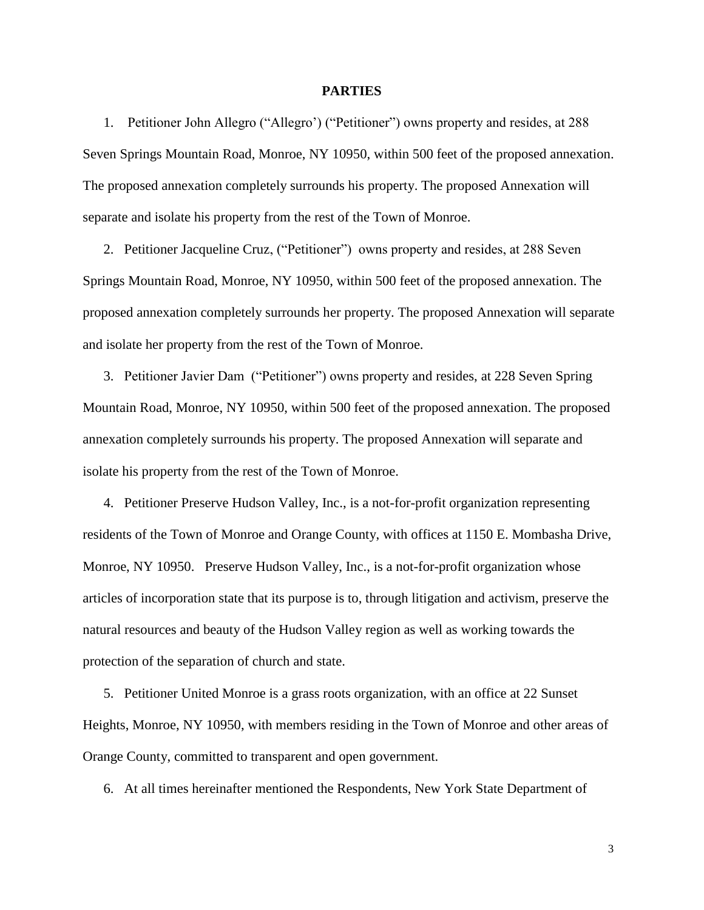#### **PARTIES**

1. Petitioner John Allegro ("Allegro') ("Petitioner") owns property and resides, at 288 Seven Springs Mountain Road, Monroe, NY 10950, within 500 feet of the proposed annexation. The proposed annexation completely surrounds his property. The proposed Annexation will separate and isolate his property from the rest of the Town of Monroe.

2. Petitioner Jacqueline Cruz, ("Petitioner") owns property and resides, at 288 Seven Springs Mountain Road, Monroe, NY 10950, within 500 feet of the proposed annexation. The proposed annexation completely surrounds her property. The proposed Annexation will separate and isolate her property from the rest of the Town of Monroe.

3. Petitioner Javier Dam ("Petitioner") owns property and resides, at 228 Seven Spring Mountain Road, Monroe, NY 10950, within 500 feet of the proposed annexation. The proposed annexation completely surrounds his property. The proposed Annexation will separate and isolate his property from the rest of the Town of Monroe.

4. Petitioner Preserve Hudson Valley, Inc., is a not-for-profit organization representing residents of the Town of Monroe and Orange County, with offices at 1150 E. Mombasha Drive, Monroe, NY 10950. Preserve Hudson Valley, Inc., is a not-for-profit organization whose articles of incorporation state that its purpose is to, through litigation and activism, preserve the natural resources and beauty of the Hudson Valley region as well as working towards the protection of the separation of church and state.

5. Petitioner United Monroe is a grass roots organization, with an office at 22 Sunset Heights, Monroe, NY 10950, with members residing in the Town of Monroe and other areas of Orange County, committed to transparent and open government.

6. At all times hereinafter mentioned the Respondents, New York State Department of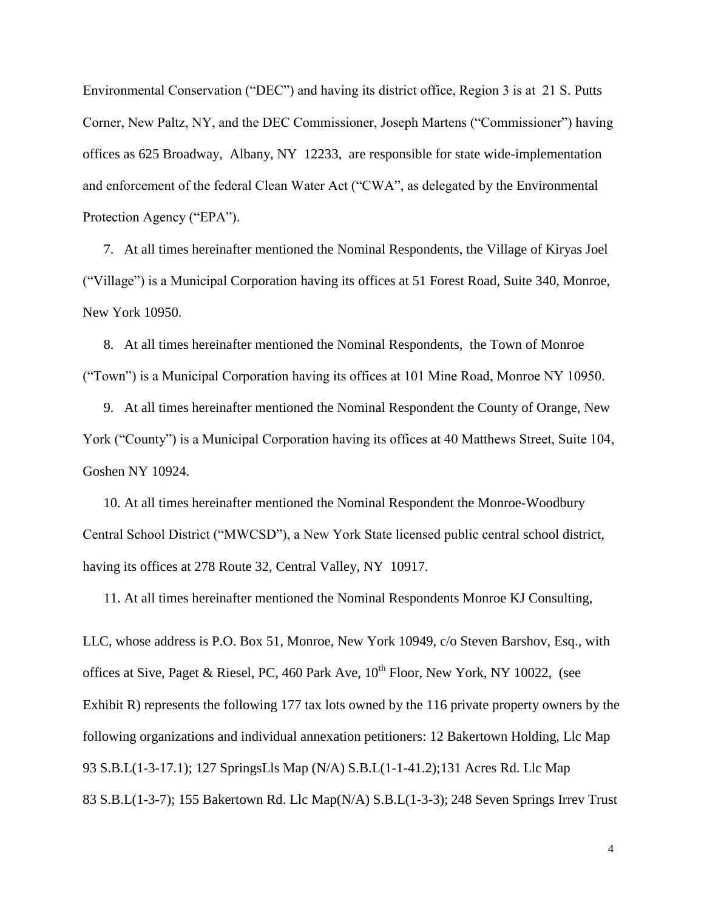Environmental Conservation ("DEC") and having its district office, Region 3 is at 21 S. Putts Corner, New Paltz, NY, and the DEC Commissioner, Joseph Martens ("Commissioner") having offices as 625 Broadway, Albany, NY 12233, are responsible for state wide-implementation and enforcement of the federal Clean Water Act ("CWA", as delegated by the Environmental Protection Agency ("EPA").

7. At all times hereinafter mentioned the Nominal Respondents, the Village of Kiryas Joel ("Village") is a Municipal Corporation having its offices at 51 Forest Road, Suite 340, Monroe, New York 10950.

8. At all times hereinafter mentioned the Nominal Respondents, the Town of Monroe ("Town") is a Municipal Corporation having its offices at 101 Mine Road, Monroe NY 10950.

9. At all times hereinafter mentioned the Nominal Respondent the County of Orange, New York ("County") is a Municipal Corporation having its offices at 40 Matthews Street, Suite 104, Goshen NY 10924.

10. At all times hereinafter mentioned the Nominal Respondent the Monroe-Woodbury Central School District ("MWCSD"), a New York State licensed public central school district, having its offices at 278 Route 32, Central Valley, NY 10917.

11. At all times hereinafter mentioned the Nominal Respondents Monroe KJ Consulting,

LLC, whose address is P.O. Box 51, Monroe, New York 10949, c/o Steven Barshov, Esq., with offices at Sive, Paget & Riesel, PC, 460 Park Ave,  $10^{th}$  Floor, New York, NY 10022, (see Exhibit R) represents the following 177 tax lots owned by the 116 private property owners by the following organizations and individual annexation petitioners: 12 Bakertown Holding, Llc Map 93 S.B.L(1-3-17.1); 127 SpringsLls Map (N/A) S.B.L(1-1-41.2);131 Acres Rd. Llc Map 83 S.B.L(1-3-7); 155 Bakertown Rd. Llc Map(N/A) S.B.L(1-3-3); 248 Seven Springs Irrev Trust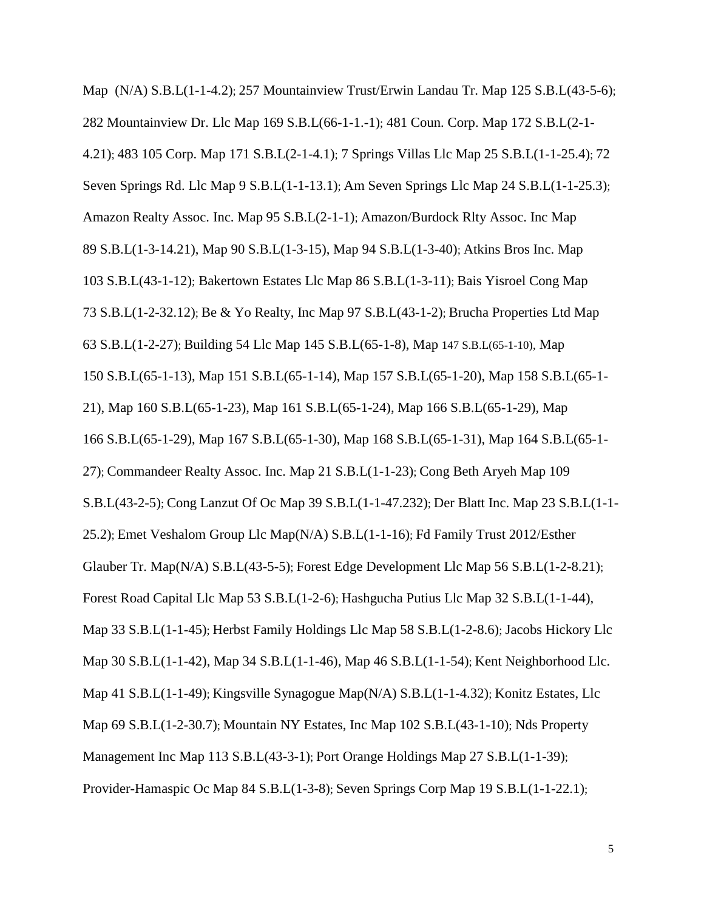Map (N/A) S.B.L(1-1-4.2); 257 Mountainview Trust/Erwin Landau Tr. Map 125 S.B.L(43-5-6); 282 Mountainview Dr. Llc Map 169 S.B.L(66-1-1.-1); 481 Coun. Corp. Map 172 S.B.L(2-1- 4.21); 483 105 Corp. Map 171 S.B.L(2-1-4.1); 7 Springs Villas Llc Map 25 S.B.L(1-1-25.4); 72 Seven Springs Rd. Llc Map 9 S.B.L(1-1-13.1); Am Seven Springs Llc Map 24 S.B.L(1-1-25.3); Amazon Realty Assoc. Inc. Map 95 S.B.L(2-1-1); Amazon/Burdock Rlty Assoc. Inc Map 89 S.B.L(1-3-14.21), Map 90 S.B.L(1-3-15), Map 94 S.B.L(1-3-40); Atkins Bros Inc. Map 103 S.B.L(43-1-12); Bakertown Estates Llc Map 86 S.B.L(1-3-11); Bais Yisroel Cong Map 73 S.B.L(1-2-32.12); Be & Yo Realty, Inc Map 97 S.B.L(43-1-2); Brucha Properties Ltd Map 63 S.B.L(1-2-27); Building 54 Llc Map 145 S.B.L(65-1-8), Map 147 S.B.L(65-1-10), Map 150 S.B.L(65-1-13), Map 151 S.B.L(65-1-14), Map 157 S.B.L(65-1-20), Map 158 S.B.L(65-1- 21), Map 160 S.B.L(65-1-23), Map 161 S.B.L(65-1-24), Map 166 S.B.L(65-1-29), Map 166 S.B.L(65-1-29), Map 167 S.B.L(65-1-30), Map 168 S.B.L(65-1-31), Map 164 S.B.L(65-1- 27); Commandeer Realty Assoc. Inc. Map 21 S.B.L(1-1-23); Cong Beth Aryeh Map 109 S.B.L(43-2-5); Cong Lanzut Of Oc Map 39 S.B.L(1-1-47.232); Der Blatt Inc. Map 23 S.B.L(1-1- 25.2); Emet Veshalom Group Llc Map(N/A) S.B.L(1-1-16); Fd Family Trust 2012/Esther Glauber Tr. Map(N/A) S.B.L(43-5-5); Forest Edge Development Llc Map 56 S.B.L(1-2-8.21); Forest Road Capital Llc Map 53 S.B.L(1-2-6); Hashgucha Putius Llc Map 32 S.B.L(1-1-44), Map 33 S.B.L(1-1-45); Herbst Family Holdings Llc Map 58 S.B.L(1-2-8.6); Jacobs Hickory Llc Map 30 S.B.L(1-1-42), Map 34 S.B.L(1-1-46), Map 46 S.B.L(1-1-54); Kent Neighborhood Llc. Map 41 S.B.L(1-1-49); Kingsville Synagogue Map(N/A) S.B.L(1-1-4.32); Konitz Estates, Llc Map 69 S.B.L(1-2-30.7); Mountain NY Estates, Inc Map 102 S.B.L(43-1-10); Nds Property Management Inc Map 113 S.B.L(43-3-1); Port Orange Holdings Map 27 S.B.L(1-1-39); Provider-Hamaspic Oc Map 84 S.B.L(1-3-8); Seven Springs Corp Map 19 S.B.L(1-1-22.1);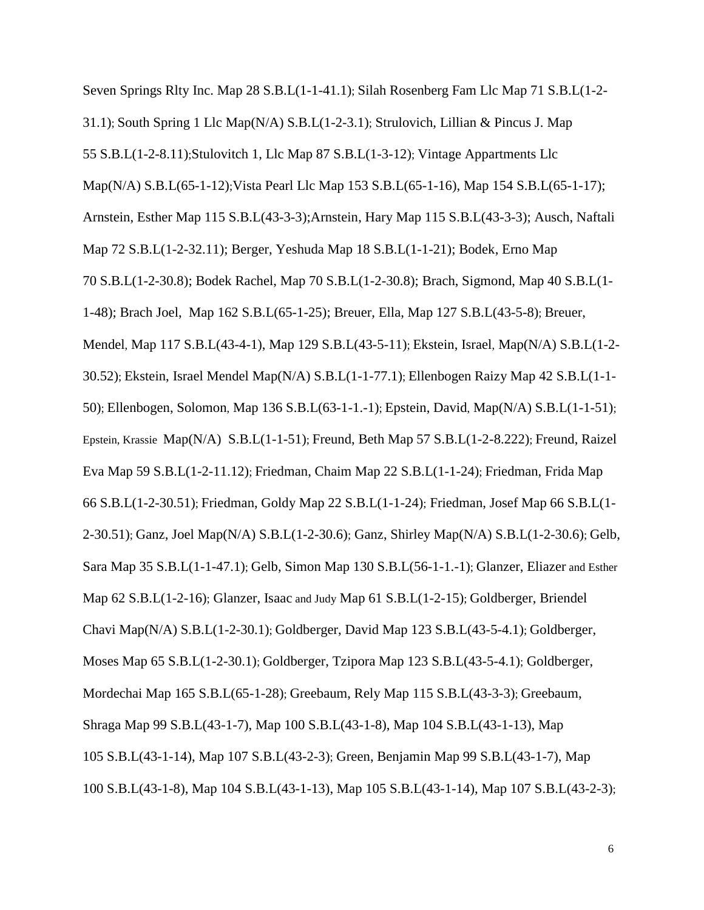Seven Springs Rlty Inc. Map 28 S.B.L(1-1-41.1); Silah Rosenberg Fam Llc Map 71 S.B.L(1-2- 31.1); South Spring 1 Llc Map(N/A) S.B.L(1-2-3.1); Strulovich, Lillian & Pincus J. Map 55 S.B.L(1-2-8.11);Stulovitch 1, Llc Map 87 S.B.L(1-3-12); Vintage Appartments Llc Map(N/A) S.B.L(65-1-12);Vista Pearl Llc Map 153 S.B.L(65-1-16), Map 154 S.B.L(65-1-17); Arnstein, Esther Map 115 S.B.L(43-3-3);Arnstein, Hary Map 115 S.B.L(43-3-3); Ausch, Naftali Map 72 S.B.L(1-2-32.11); Berger, Yeshuda Map 18 S.B.L(1-1-21); Bodek, Erno Map 70 S.B.L(1-2-30.8); Bodek Rachel, Map 70 S.B.L(1-2-30.8); Brach, Sigmond, Map 40 S.B.L(1- 1-48); Brach Joel, Map 162 S.B.L(65-1-25); Breuer, Ella, Map 127 S.B.L(43-5-8); Breuer, Mendel, Map 117 S.B.L(43-4-1), Map 129 S.B.L(43-5-11); Ekstein, Israel, Map(N/A) S.B.L(1-2- 30.52); Ekstein, Israel Mendel Map(N/A) S.B.L(1-1-77.1); Ellenbogen Raizy Map 42 S.B.L(1-1- 50); Ellenbogen, Solomon, Map 136 S.B.L(63-1-1.-1); Epstein, David, Map(N/A) S.B.L(1-1-51); Epstein, Krassie Map(N/A) S.B.L(1-1-51); Freund, Beth Map 57 S.B.L(1-2-8.222); Freund, Raizel Eva Map 59 S.B.L(1-2-11.12); Friedman, Chaim Map 22 S.B.L(1-1-24); Friedman, Frida Map 66 S.B.L(1-2-30.51); Friedman, Goldy Map 22 S.B.L(1-1-24); Friedman, Josef Map 66 S.B.L(1- 2-30.51); Ganz, Joel Map(N/A) S.B.L(1-2-30.6); Ganz, Shirley Map(N/A) S.B.L(1-2-30.6); Gelb, Sara Map 35 S.B.L(1-1-47.1); Gelb, Simon Map 130 S.B.L(56-1-1.-1); Glanzer, Eliazer and Esther Map 62 S.B.L(1-2-16); Glanzer, Isaac and Judy Map 61 S.B.L(1-2-15); Goldberger, Briendel Chavi Map(N/A) S.B.L(1-2-30.1); Goldberger, David Map 123 S.B.L(43-5-4.1); Goldberger, Moses Map 65 S.B.L(1-2-30.1); Goldberger, Tzipora Map 123 S.B.L(43-5-4.1); Goldberger, Mordechai Map 165 S.B.L(65-1-28); Greebaum, Rely Map 115 S.B.L(43-3-3); Greebaum, Shraga Map 99 S.B.L(43-1-7), Map 100 S.B.L(43-1-8), Map 104 S.B.L(43-1-13), Map 105 S.B.L(43-1-14), Map 107 S.B.L(43-2-3); Green, Benjamin Map 99 S.B.L(43-1-7), Map 100 S.B.L(43-1-8), Map 104 S.B.L(43-1-13), Map 105 S.B.L(43-1-14), Map 107 S.B.L(43-2-3);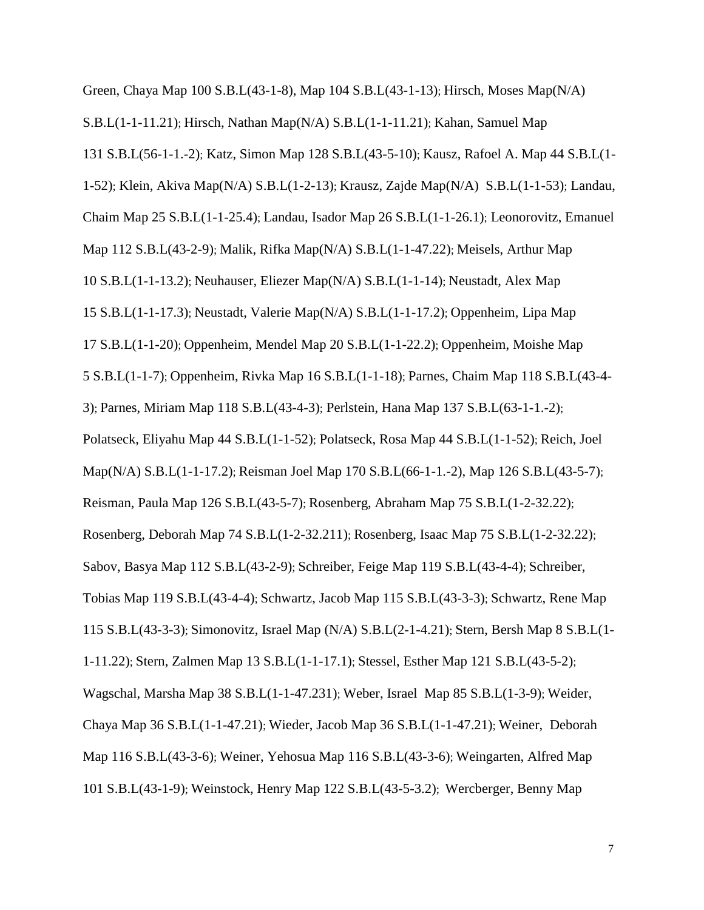Green, Chaya Map 100 S.B.L(43-1-8), Map 104 S.B.L(43-1-13); Hirsch, Moses Map(N/A) S.B.L(1-1-11.21); Hirsch, Nathan Map(N/A) S.B.L(1-1-11.21); Kahan, Samuel Map 131 S.B.L(56-1-1.-2); Katz, Simon Map 128 S.B.L(43-5-10); Kausz, Rafoel A. Map 44 S.B.L(1- 1-52); Klein, Akiva Map(N/A) S.B.L(1-2-13); Krausz, Zajde Map(N/A) S.B.L(1-1-53); Landau, Chaim Map 25 S.B.L(1-1-25.4); Landau, Isador Map 26 S.B.L(1-1-26.1); Leonorovitz, Emanuel Map 112 S.B.L(43-2-9); Malik, Rifka Map(N/A) S.B.L(1-1-47.22); Meisels, Arthur Map 10 S.B.L(1-1-13.2); Neuhauser, Eliezer Map(N/A) S.B.L(1-1-14); Neustadt, Alex Map 15 S.B.L(1-1-17.3); Neustadt, Valerie Map(N/A) S.B.L(1-1-17.2); Oppenheim, Lipa Map 17 S.B.L(1-1-20); Oppenheim, Mendel Map 20 S.B.L(1-1-22.2); Oppenheim, Moishe Map 5 S.B.L(1-1-7); Oppenheim, Rivka Map 16 S.B.L(1-1-18); Parnes, Chaim Map 118 S.B.L(43-4- 3); Parnes, Miriam Map 118 S.B.L(43-4-3); Perlstein, Hana Map 137 S.B.L(63-1-1.-2); Polatseck, Eliyahu Map 44 S.B.L(1-1-52); Polatseck, Rosa Map 44 S.B.L(1-1-52); Reich, Joel Map(N/A) S.B.L(1-1-17.2); Reisman Joel Map 170 S.B.L(66-1-1.-2), Map 126 S.B.L(43-5-7); Reisman, Paula Map 126 S.B.L(43-5-7); Rosenberg, Abraham Map 75 S.B.L(1-2-32.22); Rosenberg, Deborah Map 74 S.B.L(1-2-32.211); Rosenberg, Isaac Map 75 S.B.L(1-2-32.22); Sabov, Basya Map 112 S.B.L(43-2-9); Schreiber, Feige Map 119 S.B.L(43-4-4); Schreiber, Tobias Map 119 S.B.L(43-4-4); Schwartz, Jacob Map 115 S.B.L(43-3-3); Schwartz, Rene Map 115 S.B.L(43-3-3); Simonovitz, Israel Map (N/A) S.B.L(2-1-4.21); Stern, Bersh Map 8 S.B.L(1- 1-11.22); Stern, Zalmen Map 13 S.B.L(1-1-17.1); Stessel, Esther Map 121 S.B.L(43-5-2); Wagschal, Marsha Map 38 S.B.L(1-1-47.231); Weber, Israel Map 85 S.B.L(1-3-9); Weider, Chaya Map 36 S.B.L(1-1-47.21); Wieder, Jacob Map 36 S.B.L(1-1-47.21); Weiner, Deborah Map 116 S.B.L(43-3-6); Weiner, Yehosua Map 116 S.B.L(43-3-6); Weingarten, Alfred Map 101 S.B.L(43-1-9); Weinstock, Henry Map 122 S.B.L(43-5-3.2); Wercberger, Benny Map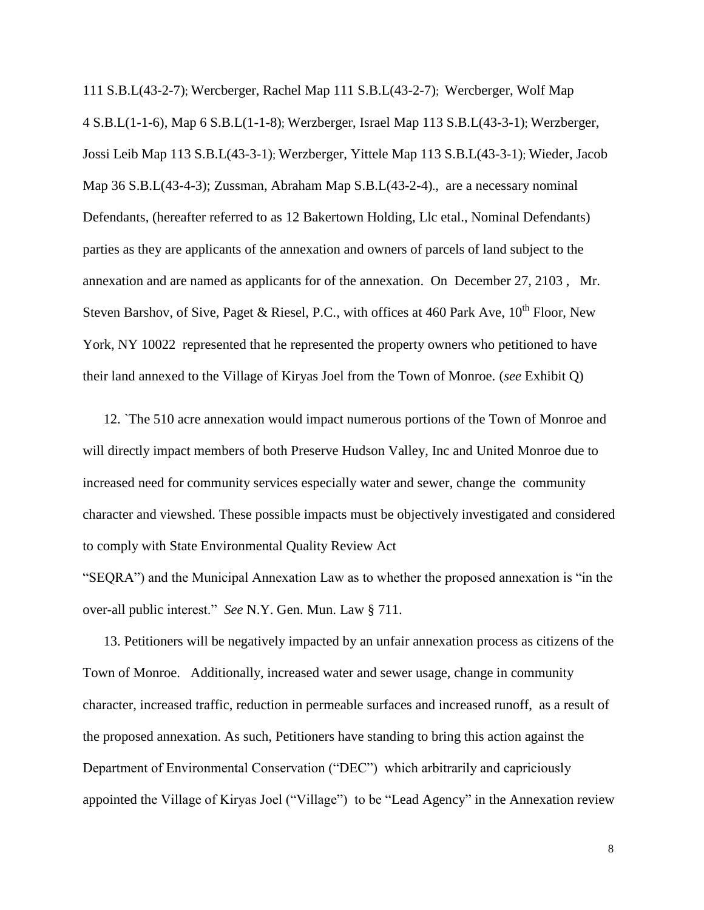111 S.B.L(43-2-7); Wercberger, Rachel Map 111 S.B.L(43-2-7); Wercberger, Wolf Map 4 S.B.L(1-1-6), Map 6 S.B.L(1-1-8); Werzberger, Israel Map 113 S.B.L(43-3-1); Werzberger, Jossi Leib Map 113 S.B.L(43-3-1); Werzberger, Yittele Map 113 S.B.L(43-3-1); Wieder, Jacob Map 36 S.B.L(43-4-3); Zussman, Abraham Map S.B.L(43-2-4)., are a necessary nominal Defendants, (hereafter referred to as 12 Bakertown Holding, Llc etal., Nominal Defendants) parties as they are applicants of the annexation and owners of parcels of land subject to the annexation and are named as applicants for of the annexation. On December 27, 2103 , Mr. Steven Barshov, of Sive, Paget & Riesel, P.C., with offices at 460 Park Ave,  $10^{th}$  Floor, New York, NY 10022 represented that he represented the property owners who petitioned to have their land annexed to the Village of Kiryas Joel from the Town of Monroe. (*see* Exhibit Q)

12. `The 510 acre annexation would impact numerous portions of the Town of Monroe and will directly impact members of both Preserve Hudson Valley, Inc and United Monroe due to increased need for community services especially water and sewer, change the community character and viewshed. These possible impacts must be objectively investigated and considered to comply with State Environmental Quality Review Act

"SEQRA") and the Municipal Annexation Law as to whether the proposed annexation is "in the over-all public interest." *See* N.Y. Gen. Mun. Law § 711.

13. Petitioners will be negatively impacted by an unfair annexation process as citizens of the Town of Monroe. Additionally, increased water and sewer usage, change in community character, increased traffic, reduction in permeable surfaces and increased runoff, as a result of the proposed annexation. As such, Petitioners have standing to bring this action against the Department of Environmental Conservation ("DEC") which arbitrarily and capriciously appointed the Village of Kiryas Joel ("Village") to be "Lead Agency" in the Annexation review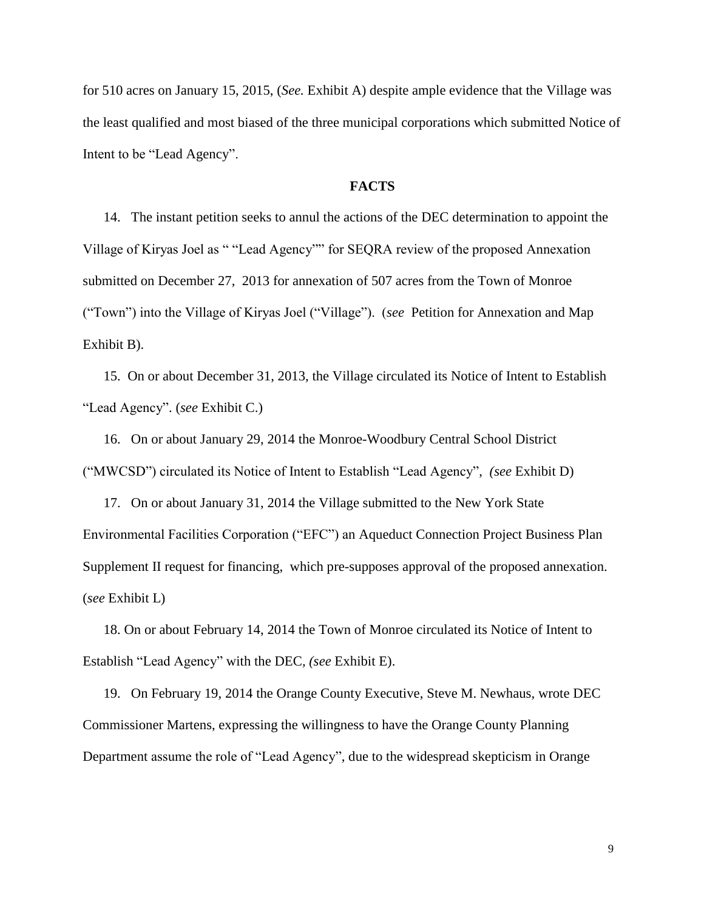for 510 acres on January 15, 2015, (*See.* Exhibit A) despite ample evidence that the Village was the least qualified and most biased of the three municipal corporations which submitted Notice of Intent to be "Lead Agency".

#### **FACTS**

14. The instant petition seeks to annul the actions of the DEC determination to appoint the Village of Kiryas Joel as " "Lead Agency"" for SEQRA review of the proposed Annexation submitted on December 27, 2013 for annexation of 507 acres from the Town of Monroe ("Town") into the Village of Kiryas Joel ("Village"). (*see* Petition for Annexation and Map Exhibit B).

15. On or about December 31, 2013, the Village circulated its Notice of Intent to Establish "Lead Agency". (*see* Exhibit C.)

16. On or about January 29, 2014 the Monroe-Woodbury Central School District ("MWCSD") circulated its Notice of Intent to Establish "Lead Agency", *(see* Exhibit D)

17. On or about January 31, 2014 the Village submitted to the New York State Environmental Facilities Corporation ("EFC") an Aqueduct Connection Project Business Plan Supplement II request for financing, which pre-supposes approval of the proposed annexation. (*see* Exhibit L)

18. On or about February 14, 2014 the Town of Monroe circulated its Notice of Intent to Establish "Lead Agency" with the DEC*, (see* Exhibit E).

 19. On February 19, 2014 the Orange County Executive, Steve M. Newhaus, wrote DEC Commissioner Martens, expressing the willingness to have the Orange County Planning Department assume the role of "Lead Agency", due to the widespread skepticism in Orange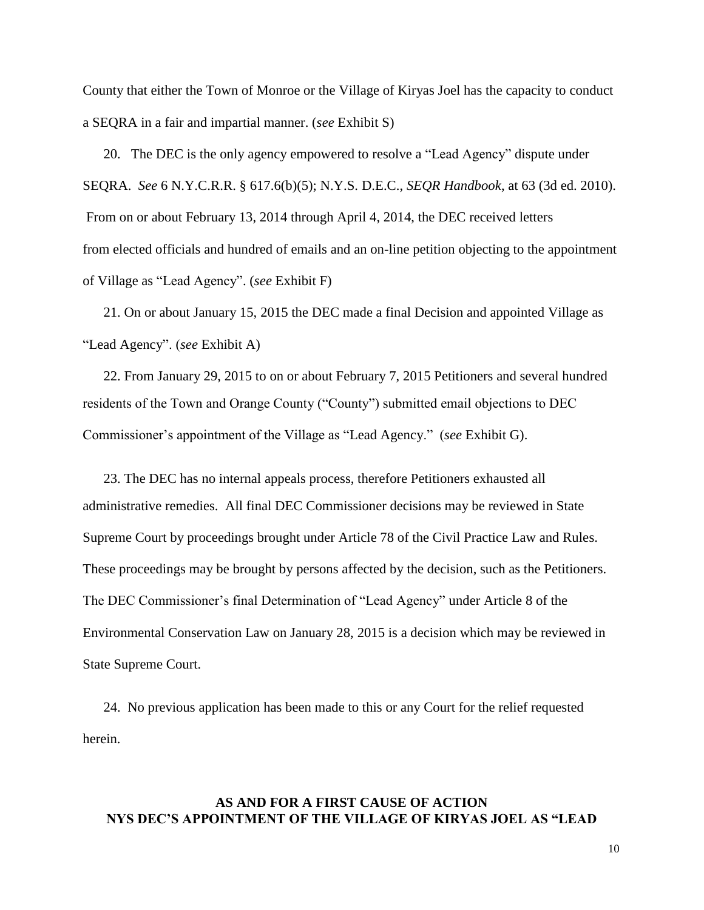County that either the Town of Monroe or the Village of Kiryas Joel has the capacity to conduct a SEQRA in a fair and impartial manner. (*see* Exhibit S)

20. The DEC is the only agency empowered to resolve a "Lead Agency" dispute under SEQRA. *See* 6 N.Y.C.R.R. § 617.6(b)(5); N.Y.S. D.E.C., *SEQR Handbook*, at 63 (3d ed. 2010). From on or about February 13, 2014 through April 4, 2014, the DEC received letters from elected officials and hundred of emails and an on-line petition objecting to the appointment of Village as "Lead Agency". (*see* Exhibit F)

21. On or about January 15, 2015 the DEC made a final Decision and appointed Village as "Lead Agency". (*see* Exhibit A)

22. From January 29, 2015 to on or about February 7, 2015 Petitioners and several hundred residents of the Town and Orange County ("County") submitted email objections to DEC Commissioner's appointment of the Village as "Lead Agency." (*see* Exhibit G).

23. The DEC has no internal appeals process, therefore Petitioners exhausted all administrative remedies. All final DEC Commissioner decisions may be reviewed in State Supreme Court by proceedings brought under Article 78 of the Civil Practice Law and Rules. These proceedings may be brought by persons affected by the decision, such as the Petitioners. The DEC Commissioner's final Determination of "Lead Agency" under Article 8 of the Environmental Conservation Law on January 28, 2015 is a decision which may be reviewed in State Supreme Court.

24. No previous application has been made to this or any Court for the relief requested herein.

## **AS AND FOR A FIRST CAUSE OF ACTION NYS DEC'S APPOINTMENT OF THE VILLAGE OF KIRYAS JOEL AS "LEAD**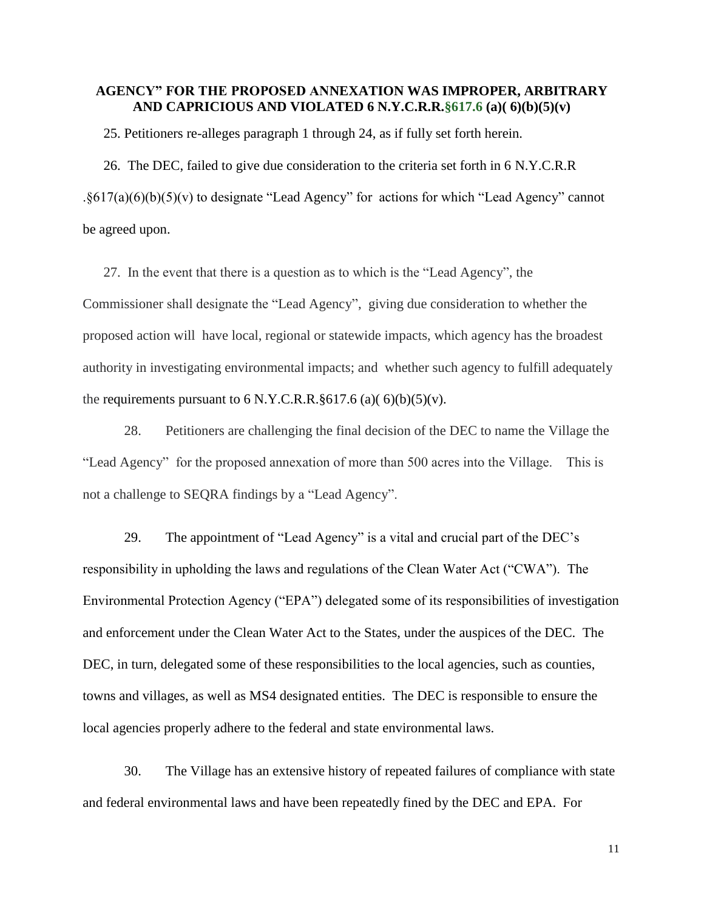### **AGENCY" FOR THE PROPOSED ANNEXATION WAS IMPROPER, ARBITRARY AND CAPRICIOUS AND VIOLATED 6 N.Y.C.R.R.§617.6 (a)( 6)(b)(5)(v)**

25. Petitioners re-alleges paragraph 1 through 24, as if fully set forth herein.

26. The DEC, failed to give due consideration to the criteria set forth in 6 N.Y.C.R.R .§617(a)(6)(b)(5)(v) to designate "Lead Agency" for actions for which "Lead Agency" cannot be agreed upon.

27. In the event that there is a question as to which is the "Lead Agency", the Commissioner shall designate the "Lead Agency", giving due consideration to whether the proposed action will have local, regional or statewide impacts, which agency has the broadest authority in investigating environmental impacts; and whether such agency to fulfill adequately the requirements pursuant to  $6 \text{ N.Y.C.R.R.}$ §617.6 (a)( $6$ )(b)(5)(v).

28. Petitioners are challenging the final decision of the DEC to name the Village the "Lead Agency" for the proposed annexation of more than 500 acres into the Village. This is not a challenge to SEQRA findings by a "Lead Agency".

29. The appointment of "Lead Agency" is a vital and crucial part of the DEC's responsibility in upholding the laws and regulations of the Clean Water Act ("CWA"). The Environmental Protection Agency ("EPA") delegated some of its responsibilities of investigation and enforcement under the Clean Water Act to the States, under the auspices of the DEC. The DEC, in turn, delegated some of these responsibilities to the local agencies, such as counties, towns and villages, as well as MS4 designated entities. The DEC is responsible to ensure the local agencies properly adhere to the federal and state environmental laws.

30. The Village has an extensive history of repeated failures of compliance with state and federal environmental laws and have been repeatedly fined by the DEC and EPA. For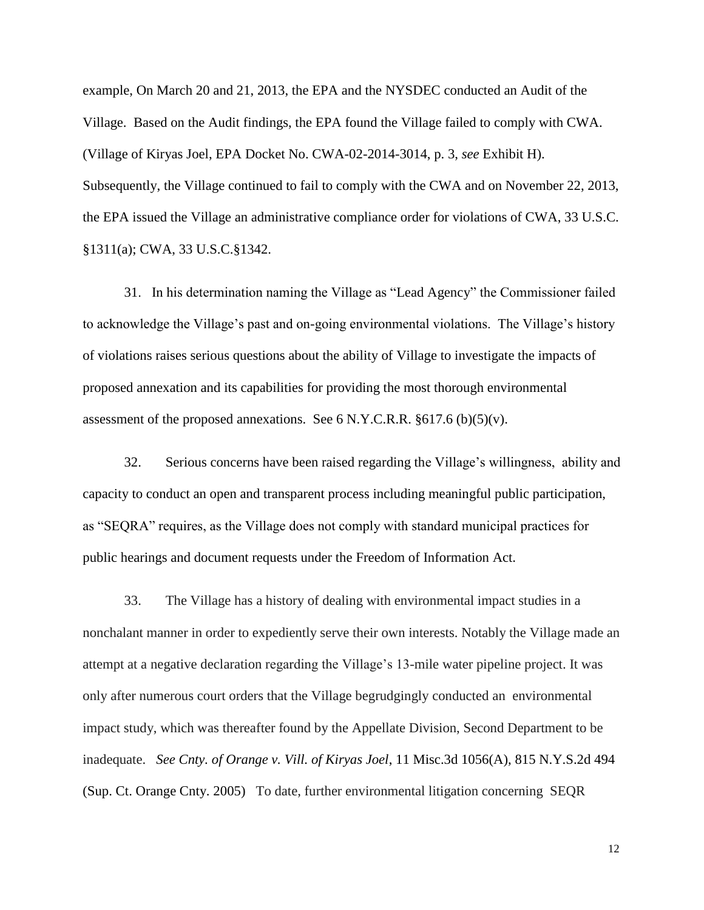example, On March 20 and 21, 2013, the EPA and the NYSDEC conducted an Audit of the Village. Based on the Audit findings, the EPA found the Village failed to comply with CWA. (Village of Kiryas Joel, EPA Docket No. CWA-02-2014-3014, p. 3, *see* Exhibit H). Subsequently, the Village continued to fail to comply with the CWA and on November 22, 2013, the EPA issued the Village an administrative compliance order for violations of CWA, 33 U.S.C. §1311(a); CWA, 33 U.S.C.§1342.

31. In his determination naming the Village as "Lead Agency" the Commissioner failed to acknowledge the Village's past and on-going environmental violations. The Village's history of violations raises serious questions about the ability of Village to investigate the impacts of proposed annexation and its capabilities for providing the most thorough environmental assessment of the proposed annexations. See 6 N.Y.C.R.R.  $\S617.6$  (b)(5)(v).

32. Serious concerns have been raised regarding the Village's willingness, ability and capacity to conduct an open and transparent process including meaningful public participation, as "SEQRA" requires, as the Village does not comply with standard municipal practices for public hearings and document requests under the Freedom of Information Act.

33. The Village has a history of dealing with environmental impact studies in a nonchalant manner in order to expediently serve their own interests. Notably the Village made an attempt at a negative declaration regarding the Village's 13-mile water pipeline project. It was only after numerous court orders that the Village begrudgingly conducted an environmental impact study, which was thereafter found by the Appellate Division, Second Department to be inadequate. *See Cnty. of Orange v. Vill. of Kiryas Joel*, 11 Misc.3d 1056(A), 815 N.Y.S.2d 494 (Sup. Ct. Orange Cnty. 2005) To date, further environmental litigation concerning SEQR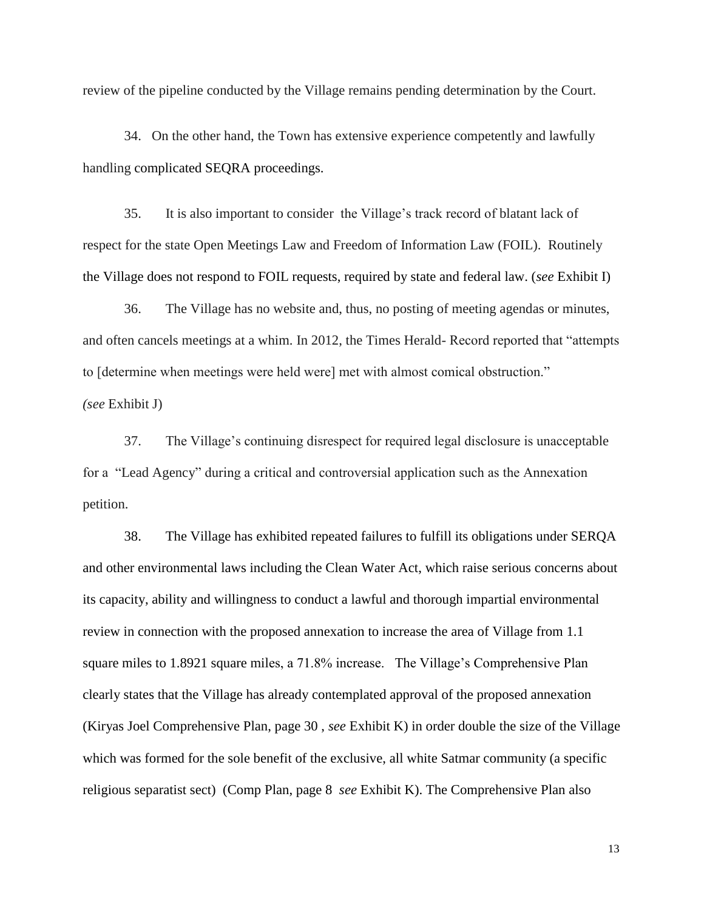review of the pipeline conducted by the Village remains pending determination by the Court.

34. On the other hand, the Town has extensive experience competently and lawfully handling complicated SEQRA proceedings.

35. It is also important to consider the Village's track record of blatant lack of respect for the state Open Meetings Law and Freedom of Information Law (FOIL). Routinely the Village does not respond to FOIL requests, required by state and federal law. (*see* Exhibit I)

36. The Village has no website and, thus, no posting of meeting agendas or minutes, and often cancels meetings at a whim. In 2012, the Times Herald- Record reported that "attempts to [determine when meetings were held were] met with almost comical obstruction." *(see* Exhibit J)

37. The Village's continuing disrespect for required legal disclosure is unacceptable for a "Lead Agency" during a critical and controversial application such as the Annexation petition.

38. The Village has exhibited repeated failures to fulfill its obligations under SERQA and other environmental laws including the Clean Water Act, which raise serious concerns about its capacity, ability and willingness to conduct a lawful and thorough impartial environmental review in connection with the proposed annexation to increase the area of Village from 1.1 square miles to 1.8921 square miles, a 71.8% increase. The Village's Comprehensive Plan clearly states that the Village has already contemplated approval of the proposed annexation (Kiryas Joel Comprehensive Plan, page 30 , *see* Exhibit K) in order double the size of the Village which was formed for the sole benefit of the exclusive, all white Satmar community (a specific religious separatist sect) (Comp Plan, page 8 *see* Exhibit K). The Comprehensive Plan also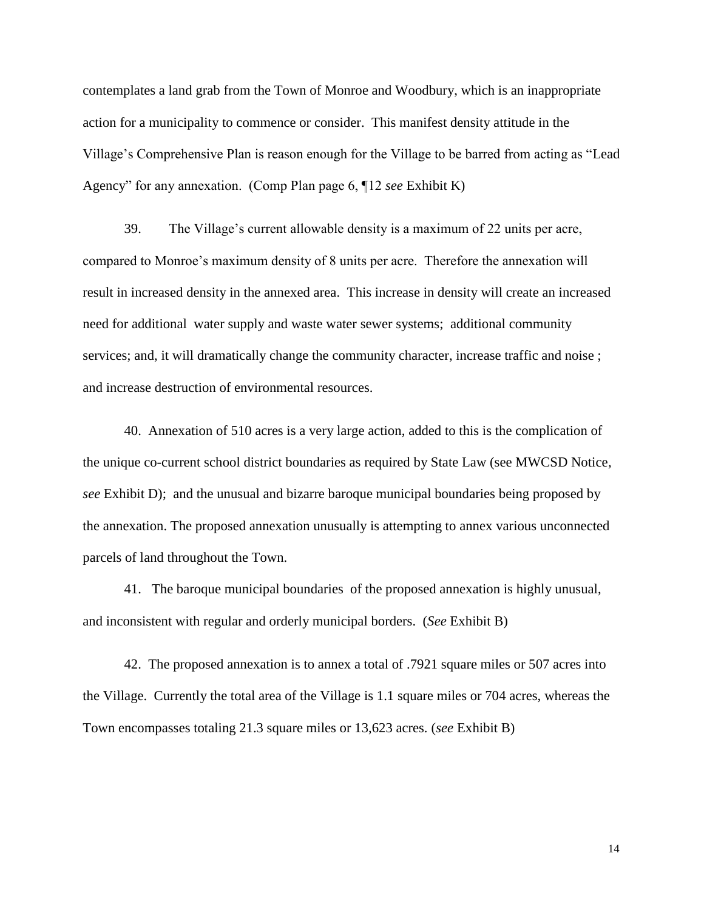contemplates a land grab from the Town of Monroe and Woodbury, which is an inappropriate action for a municipality to commence or consider. This manifest density attitude in the Village's Comprehensive Plan is reason enough for the Village to be barred from acting as "Lead Agency" for any annexation. (Comp Plan page 6, ¶12 *see* Exhibit K)

39. The Village's current allowable density is a maximum of 22 units per acre, compared to Monroe's maximum density of 8 units per acre. Therefore the annexation will result in increased density in the annexed area. This increase in density will create an increased need for additional water supply and waste water sewer systems; additional community services; and, it will dramatically change the community character, increase traffic and noise; and increase destruction of environmental resources.

40. Annexation of 510 acres is a very large action, added to this is the complication of the unique co-current school district boundaries as required by State Law (see MWCSD Notice*, see* Exhibit D); and the unusual and bizarre baroque municipal boundaries being proposed by the annexation. The proposed annexation unusually is attempting to annex various unconnected parcels of land throughout the Town.

41. The baroque municipal boundaries of the proposed annexation is highly unusual, and inconsistent with regular and orderly municipal borders. (*See* Exhibit B)

42. The proposed annexation is to annex a total of .7921 square miles or 507 acres into the Village. Currently the total area of the Village is 1.1 square miles or 704 acres, whereas the Town encompasses totaling 21.3 square miles or 13,623 acres. (*see* Exhibit B)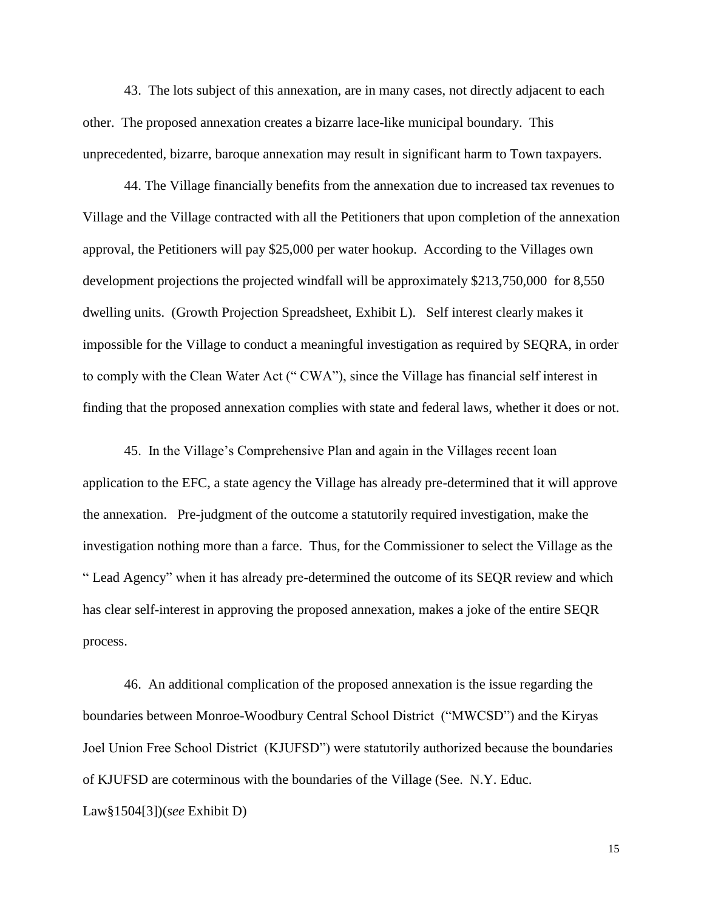43. The lots subject of this annexation, are in many cases, not directly adjacent to each other. The proposed annexation creates a bizarre lace-like municipal boundary. This unprecedented, bizarre, baroque annexation may result in significant harm to Town taxpayers.

44. The Village financially benefits from the annexation due to increased tax revenues to Village and the Village contracted with all the Petitioners that upon completion of the annexation approval, the Petitioners will pay \$25,000 per water hookup. According to the Villages own development projections the projected windfall will be approximately \$213,750,000 for 8,550 dwelling units. (Growth Projection Spreadsheet, Exhibit L). Self interest clearly makes it impossible for the Village to conduct a meaningful investigation as required by SEQRA, in order to comply with the Clean Water Act (" CWA"), since the Village has financial self interest in finding that the proposed annexation complies with state and federal laws, whether it does or not.

45. In the Village's Comprehensive Plan and again in the Villages recent loan application to the EFC, a state agency the Village has already pre-determined that it will approve the annexation. Pre-judgment of the outcome a statutorily required investigation, make the investigation nothing more than a farce. Thus, for the Commissioner to select the Village as the " Lead Agency" when it has already pre-determined the outcome of its SEQR review and which has clear self-interest in approving the proposed annexation, makes a joke of the entire SEQR process.

46. An additional complication of the proposed annexation is the issue regarding the boundaries between Monroe-Woodbury Central School District ("MWCSD") and the Kiryas Joel Union Free School District (KJUFSD") were statutorily authorized because the boundaries of KJUFSD are coterminous with the boundaries of the Village (See. N.Y. Educ. Law§1504[3])(*see* Exhibit D)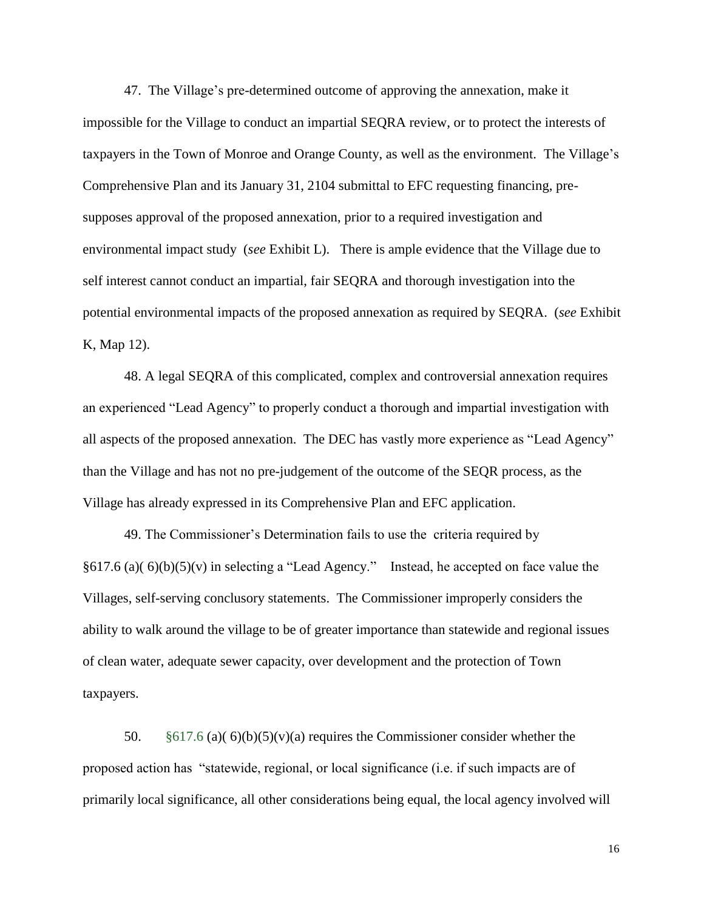47. The Village's pre-determined outcome of approving the annexation, make it impossible for the Village to conduct an impartial SEQRA review, or to protect the interests of taxpayers in the Town of Monroe and Orange County, as well as the environment. The Village's Comprehensive Plan and its January 31, 2104 submittal to EFC requesting financing, presupposes approval of the proposed annexation, prior to a required investigation and environmental impact study (*see* Exhibit L). There is ample evidence that the Village due to self interest cannot conduct an impartial, fair SEQRA and thorough investigation into the potential environmental impacts of the proposed annexation as required by SEQRA. (*see* Exhibit K, Map 12).

48. A legal SEQRA of this complicated, complex and controversial annexation requires an experienced "Lead Agency" to properly conduct a thorough and impartial investigation with all aspects of the proposed annexation. The DEC has vastly more experience as "Lead Agency" than the Village and has not no pre-judgement of the outcome of the SEQR process, as the Village has already expressed in its Comprehensive Plan and EFC application.

49. The Commissioner's Determination fails to use the criteria required by  $§617.6$  (a)(6)(b)(5)(v) in selecting a "Lead Agency." Instead, he accepted on face value the Villages, self-serving conclusory statements. The Commissioner improperly considers the ability to walk around the village to be of greater importance than statewide and regional issues of clean water, adequate sewer capacity, over development and the protection of Town taxpayers.

50.  $§617.6$  (a)(6)(b)(5)(v)(a) requires the Commissioner consider whether the proposed action has "statewide, regional, or local significance (i.e. if such impacts are of primarily local significance, all other considerations being equal, the local agency involved will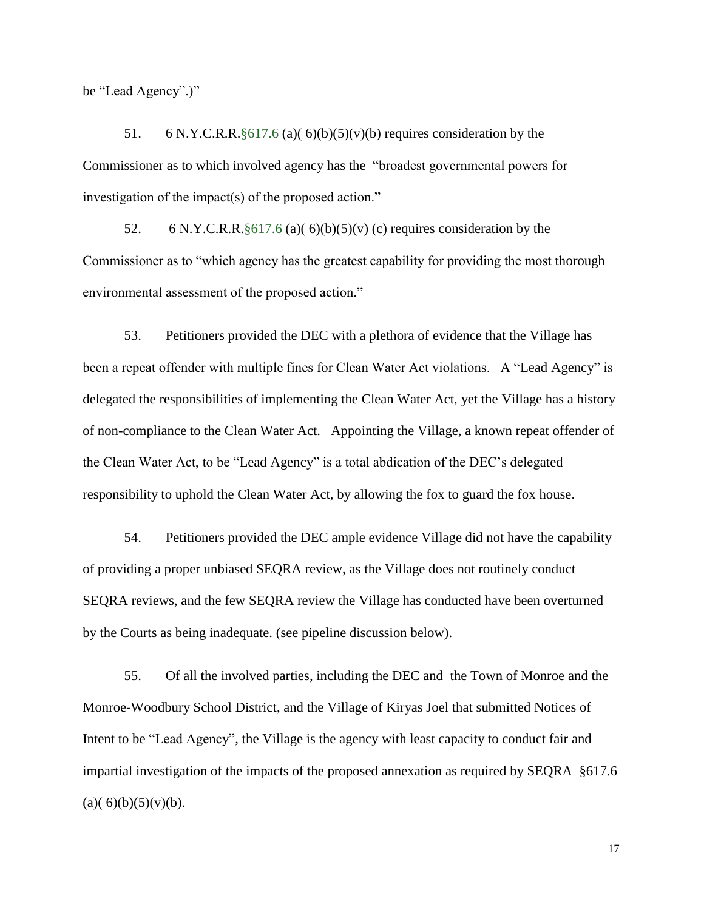be "Lead Agency".)"

51. 6 N.Y.C.R.R. $§617.6$  (a)(6)(b)(5)(v)(b) requires consideration by the Commissioner as to which involved agency has the "broadest governmental powers for investigation of the impact(s) of the proposed action."

52. 6 N.Y.C.R.R. $§617.6$  (a)(6)(b)(5)(v) (c) requires consideration by the Commissioner as to "which agency has the greatest capability for providing the most thorough environmental assessment of the proposed action."

53. Petitioners provided the DEC with a plethora of evidence that the Village has been a repeat offender with multiple fines for Clean Water Act violations. A "Lead Agency" is delegated the responsibilities of implementing the Clean Water Act, yet the Village has a history of non-compliance to the Clean Water Act. Appointing the Village, a known repeat offender of the Clean Water Act, to be "Lead Agency" is a total abdication of the DEC's delegated responsibility to uphold the Clean Water Act, by allowing the fox to guard the fox house.

54. Petitioners provided the DEC ample evidence Village did not have the capability of providing a proper unbiased SEQRA review, as the Village does not routinely conduct SEQRA reviews, and the few SEQRA review the Village has conducted have been overturned by the Courts as being inadequate. (see pipeline discussion below).

55. Of all the involved parties, including the DEC and the Town of Monroe and the Monroe-Woodbury School District, and the Village of Kiryas Joel that submitted Notices of Intent to be "Lead Agency", the Village is the agency with least capacity to conduct fair and impartial investigation of the impacts of the proposed annexation as required by SEQRA §617.6  $(a)(6)(b)(5)(v)(b).$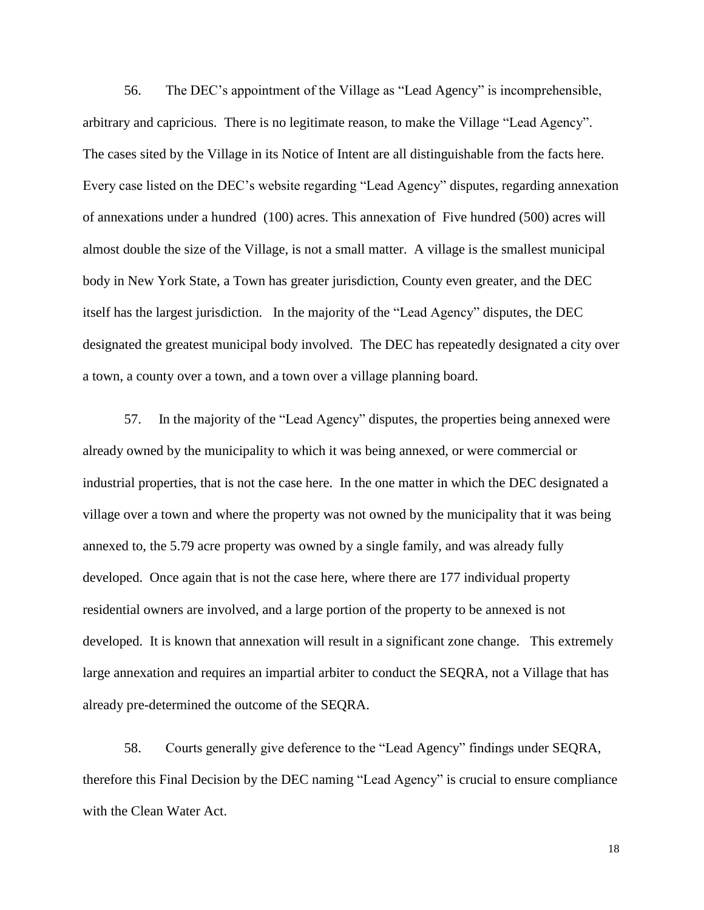56. The DEC's appointment of the Village as "Lead Agency" is incomprehensible, arbitrary and capricious. There is no legitimate reason, to make the Village "Lead Agency". The cases sited by the Village in its Notice of Intent are all distinguishable from the facts here. Every case listed on the DEC's website regarding "Lead Agency" disputes, regarding annexation of annexations under a hundred (100) acres. This annexation of Five hundred (500) acres will almost double the size of the Village, is not a small matter. A village is the smallest municipal body in New York State, a Town has greater jurisdiction, County even greater, and the DEC itself has the largest jurisdiction. In the majority of the "Lead Agency" disputes, the DEC designated the greatest municipal body involved. The DEC has repeatedly designated a city over a town, a county over a town, and a town over a village planning board.

57. In the majority of the "Lead Agency" disputes, the properties being annexed were already owned by the municipality to which it was being annexed, or were commercial or industrial properties, that is not the case here. In the one matter in which the DEC designated a village over a town and where the property was not owned by the municipality that it was being annexed to, the 5.79 acre property was owned by a single family, and was already fully developed. Once again that is not the case here, where there are 177 individual property residential owners are involved, and a large portion of the property to be annexed is not developed. It is known that annexation will result in a significant zone change. This extremely large annexation and requires an impartial arbiter to conduct the SEQRA, not a Village that has already pre-determined the outcome of the SEQRA.

58. Courts generally give deference to the "Lead Agency" findings under SEQRA, therefore this Final Decision by the DEC naming "Lead Agency" is crucial to ensure compliance with the Clean Water Act.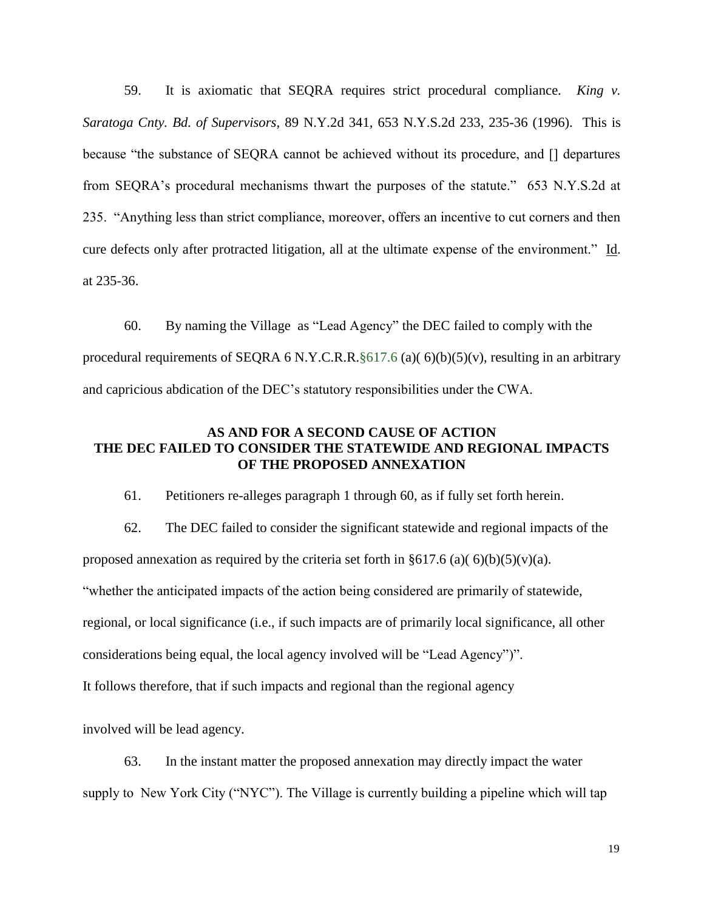59. It is axiomatic that SEQRA requires strict procedural compliance*. King v. Saratoga Cnty. Bd. of Supervisors,* 89 N.Y.2d 341, 653 N.Y.S.2d 233, 235-36 (1996). This is because "the substance of SEQRA cannot be achieved without its procedure, and [] departures from SEQRA's procedural mechanisms thwart the purposes of the statute." 653 N.Y.S.2d at 235. "Anything less than strict compliance, moreover, offers an incentive to cut corners and then cure defects only after protracted litigation, all at the ultimate expense of the environment." Id. at 235-36.

60. By naming the Village as "Lead Agency" the DEC failed to comply with the procedural requirements of SEQRA 6 N.Y.C.R.R.§617.6 (a)( 6)(b)(5)(v), resulting in an arbitrary and capricious abdication of the DEC's statutory responsibilities under the CWA.

## **AS AND FOR A SECOND CAUSE OF ACTION THE DEC FAILED TO CONSIDER THE STATEWIDE AND REGIONAL IMPACTS OF THE PROPOSED ANNEXATION**

61. Petitioners re-alleges paragraph 1 through 60, as if fully set forth herein.

62. The DEC failed to consider the significant statewide and regional impacts of the proposed annexation as required by the criteria set forth in  $\S617.6$  (a)( $\S0(b)(5)(v)(a)$ . "whether the anticipated impacts of the action being considered are primarily of statewide, regional, or local significance (i.e., if such impacts are of primarily local significance, all other considerations being equal, the local agency involved will be "Lead Agency")".

It follows therefore, that if such impacts and regional than the regional agency

involved will be lead agency.

63. In the instant matter the proposed annexation may directly impact the water supply to New York City ("NYC"). The Village is currently building a pipeline which will tap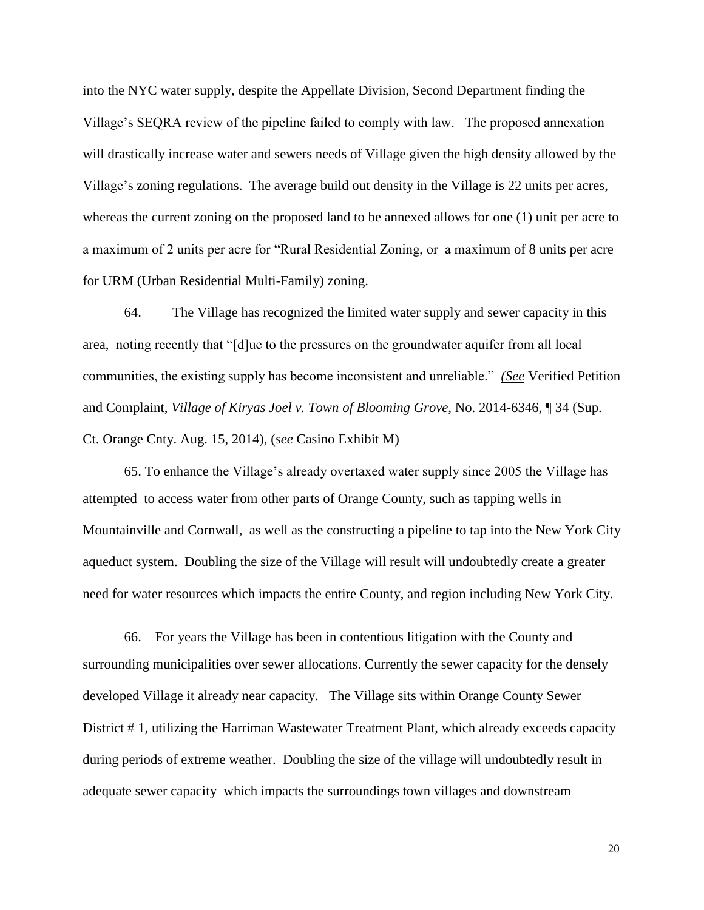into the NYC water supply, despite the Appellate Division, Second Department finding the Village's SEQRA review of the pipeline failed to comply with law. The proposed annexation will drastically increase water and sewers needs of Village given the high density allowed by the Village's zoning regulations. The average build out density in the Village is 22 units per acres, whereas the current zoning on the proposed land to be annexed allows for one (1) unit per acre to a maximum of 2 units per acre for "Rural Residential Zoning, or a maximum of 8 units per acre for URM (Urban Residential Multi-Family) zoning.

64. The Village has recognized the limited water supply and sewer capacity in this area, noting recently that "[d]ue to the pressures on the groundwater aquifer from all local communities, the existing supply has become inconsistent and unreliable." *(See* Verified Petition and Complaint, *Village of Kiryas Joel v. Town of Blooming Grove,* No. 2014-6346, ¶ 34 (Sup. Ct. Orange Cnty. Aug. 15, 2014), (*see* Casino Exhibit M)

65. To enhance the Village's already overtaxed water supply since 2005 the Village has attempted to access water from other parts of Orange County, such as tapping wells in Mountainville and Cornwall, as well as the constructing a pipeline to tap into the New York City aqueduct system. Doubling the size of the Village will result will undoubtedly create a greater need for water resources which impacts the entire County, and region including New York City.

66. For years the Village has been in contentious litigation with the County and surrounding municipalities over sewer allocations. Currently the sewer capacity for the densely developed Village it already near capacity. The Village sits within Orange County Sewer District # 1, utilizing the Harriman Wastewater Treatment Plant, which already exceeds capacity during periods of extreme weather. Doubling the size of the village will undoubtedly result in adequate sewer capacity which impacts the surroundings town villages and downstream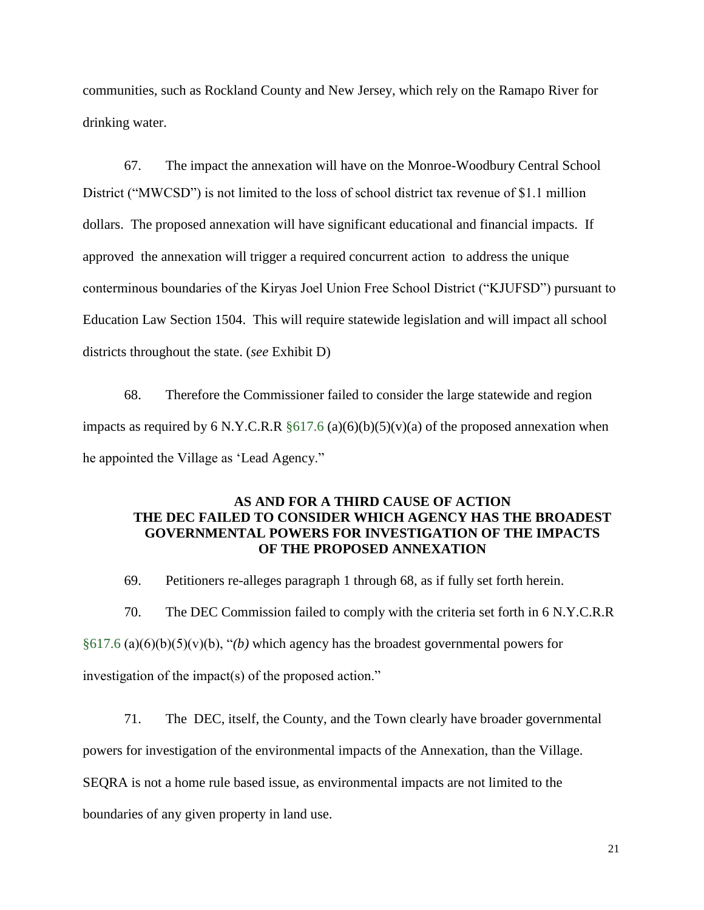communities, such as Rockland County and New Jersey, which rely on the Ramapo River for drinking water.

67. The impact the annexation will have on the Monroe-Woodbury Central School District ("MWCSD") is not limited to the loss of school district tax revenue of \$1.1 million dollars. The proposed annexation will have significant educational and financial impacts. If approved the annexation will trigger a required concurrent action to address the unique conterminous boundaries of the Kiryas Joel Union Free School District ("KJUFSD") pursuant to Education Law Section 1504. This will require statewide legislation and will impact all school districts throughout the state. (*see* Exhibit D)

68. Therefore the Commissioner failed to consider the large statewide and region impacts as required by 6 N.Y.C.R.R  $\S617.6$  (a)(6)(b)(5)(v)(a) of the proposed annexation when he appointed the Village as 'Lead Agency."

### **AS AND FOR A THIRD CAUSE OF ACTION THE DEC FAILED TO CONSIDER WHICH AGENCY HAS THE BROADEST GOVERNMENTAL POWERS FOR INVESTIGATION OF THE IMPACTS OF THE PROPOSED ANNEXATION**

69. Petitioners re-alleges paragraph 1 through 68, as if fully set forth herein.

70. The DEC Commission failed to comply with the criteria set forth in 6 N.Y.C.R.R §617.6 (a)(6)(b)(5)(v)(b), "*(b)* which agency has the broadest governmental powers for investigation of the impact(s) of the proposed action."

71. The DEC, itself, the County, and the Town clearly have broader governmental

powers for investigation of the environmental impacts of the Annexation, than the Village.

SEQRA is not a home rule based issue, as environmental impacts are not limited to the

boundaries of any given property in land use.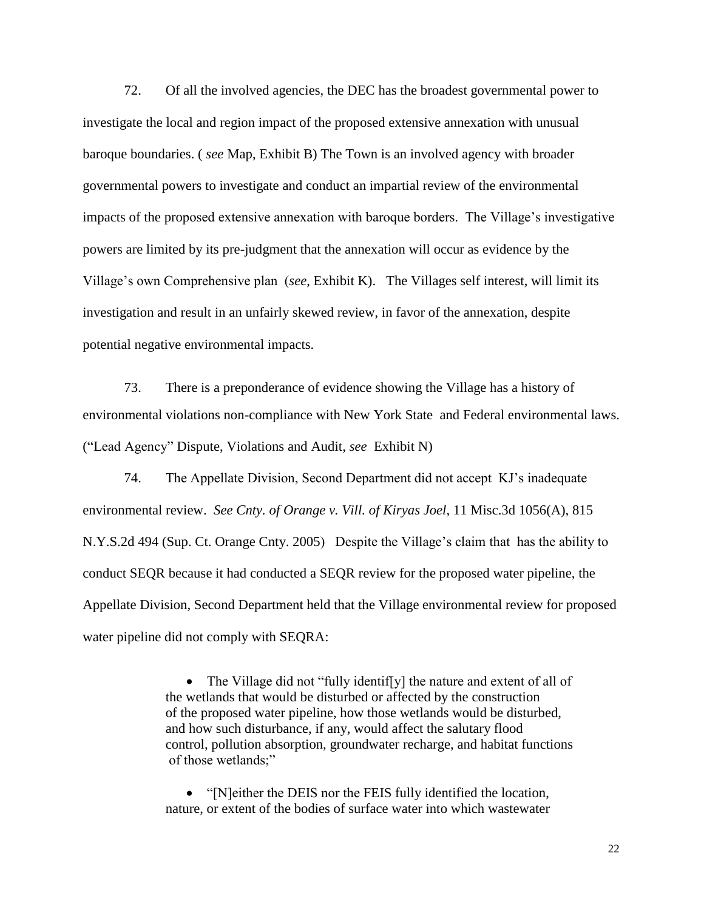72. Of all the involved agencies, the DEC has the broadest governmental power to investigate the local and region impact of the proposed extensive annexation with unusual baroque boundaries. ( *see* Map, Exhibit B) The Town is an involved agency with broader governmental powers to investigate and conduct an impartial review of the environmental impacts of the proposed extensive annexation with baroque borders. The Village's investigative powers are limited by its pre-judgment that the annexation will occur as evidence by the Village's own Comprehensive plan (*see*, Exhibit K). The Villages self interest, will limit its investigation and result in an unfairly skewed review, in favor of the annexation, despite potential negative environmental impacts.

73. There is a preponderance of evidence showing the Village has a history of environmental violations non-compliance with New York State and Federal environmental laws. ("Lead Agency" Dispute, Violations and Audit, *see* Exhibit N)

74. The Appellate Division, Second Department did not accept KJ's inadequate environmental review. *See Cnty. of Orange v. Vill. of Kiryas Joel*, 11 Misc.3d 1056(A), 815 N.Y.S.2d 494 (Sup. Ct. Orange Cnty. 2005) Despite the Village's claim that has the ability to conduct SEQR because it had conducted a SEQR review for the proposed water pipeline, the Appellate Division, Second Department held that the Village environmental review for proposed water pipeline did not comply with SEQRA:

> • The Village did not "fully identiffy] the nature and extent of all of the wetlands that would be disturbed or affected by the construction of the proposed water pipeline, how those wetlands would be disturbed, and how such disturbance, if any, would affect the salutary flood control, pollution absorption, groundwater recharge, and habitat functions of those wetlands;"

• "[N]either the DEIS nor the FEIS fully identified the location, nature, or extent of the bodies of surface water into which wastewater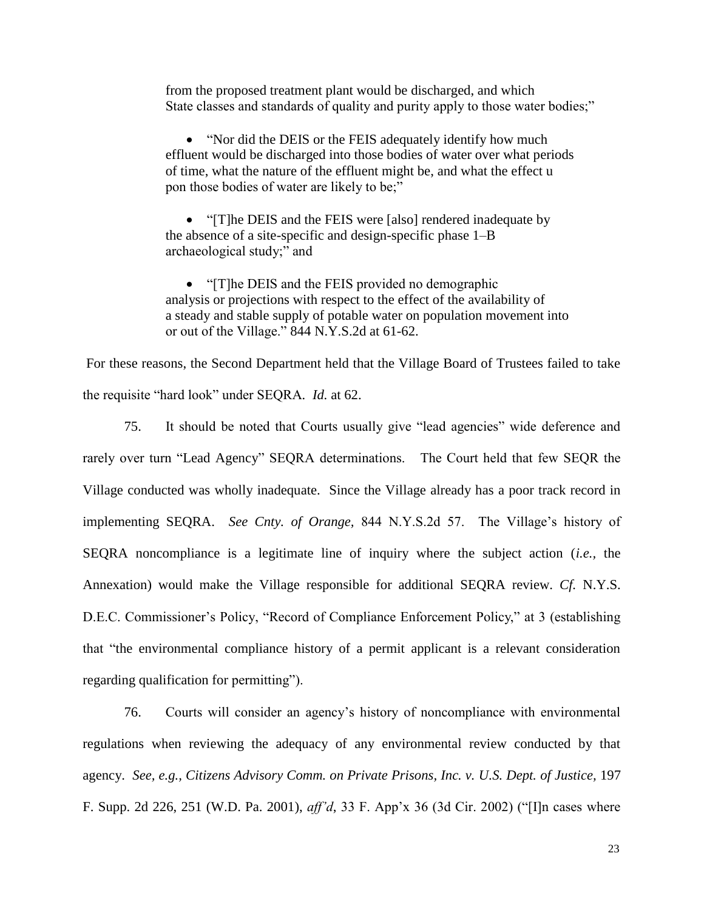from the proposed treatment plant would be discharged, and which State classes and standards of quality and purity apply to those water bodies;"

• "Nor did the DEIS or the FEIS adequately identify how much effluent would be discharged into those bodies of water over what periods of time, what the nature of the effluent might be, and what the effect u pon those bodies of water are likely to be;"

• "[T]he DEIS and the FEIS were [also] rendered inadequate by the absence of a site-specific and design-specific phase 1–B archaeological study;" and

• "[T]he DEIS and the FEIS provided no demographic analysis or projections with respect to the effect of the availability of a steady and stable supply of potable water on population movement into or out of the Village." 844 N.Y.S.2d at 61-62.

For these reasons, the Second Department held that the Village Board of Trustees failed to take the requisite "hard look" under SEQRA*. Id.* at 62.

75. It should be noted that Courts usually give "lead agencies" wide deference and rarely over turn "Lead Agency" SEQRA determinations. The Court held that few SEQR the Village conducted was wholly inadequate. Since the Village already has a poor track record in implementing SEQRA. *See Cnty. of Orange,* 844 N.Y.S.2d 57. The Village's history of SEQRA noncompliance is a legitimate line of inquiry where the subject action (*i.e.,* the Annexation) would make the Village responsible for additional SEQRA review. *Cf.* N.Y.S. D.E.C. Commissioner's Policy, "Record of Compliance Enforcement Policy," at 3 (establishing that "the environmental compliance history of a permit applicant is a relevant consideration regarding qualification for permitting").

76. Courts will consider an agency's history of noncompliance with environmental regulations when reviewing the adequacy of any environmental review conducted by that agency. *See, e.g., Citizens Advisory Comm. on Private Prisons, Inc. v. U.S. Dept. of Justice,* 197 F. Supp. 2d 226, 251 (W.D. Pa. 2001), *aff'd*, 33 F. App'x 36 (3d Cir. 2002) ("[I]n cases where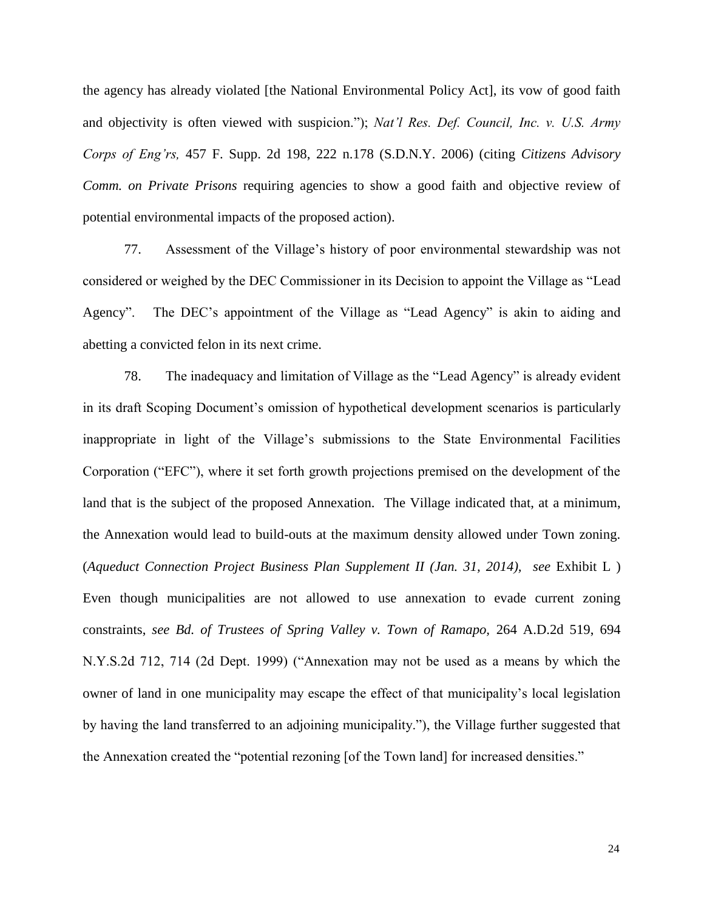the agency has already violated [the National Environmental Policy Act], its vow of good faith and objectivity is often viewed with suspicion."); *Nat'l Res. Def. Council, Inc. v. U.S. Army Corps of Eng'rs,* 457 F. Supp. 2d 198, 222 n.178 (S.D.N.Y. 2006) (citing *Citizens Advisory Comm. on Private Prisons* requiring agencies to show a good faith and objective review of potential environmental impacts of the proposed action).

77. Assessment of the Village's history of poor environmental stewardship was not considered or weighed by the DEC Commissioner in its Decision to appoint the Village as "Lead Agency". The DEC's appointment of the Village as "Lead Agency" is akin to aiding and abetting a convicted felon in its next crime.

78. The inadequacy and limitation of Village as the "Lead Agency" is already evident in its draft Scoping Document's omission of hypothetical development scenarios is particularly inappropriate in light of the Village's submissions to the State Environmental Facilities Corporation ("EFC"), where it set forth growth projections premised on the development of the land that is the subject of the proposed Annexation. The Village indicated that, at a minimum, the Annexation would lead to build-outs at the maximum density allowed under Town zoning. (*Aqueduct Connection Project Business Plan Supplement II (Jan. 31, 2014), see* Exhibit L ) Even though municipalities are not allowed to use annexation to evade current zoning constraints, *see Bd. of Trustees of Spring Valley v. Town of Ramapo,* 264 A.D.2d 519, 694 N.Y.S.2d 712, 714 (2d Dept. 1999) ("Annexation may not be used as a means by which the owner of land in one municipality may escape the effect of that municipality's local legislation by having the land transferred to an adjoining municipality."), the Village further suggested that the Annexation created the "potential rezoning [of the Town land] for increased densities."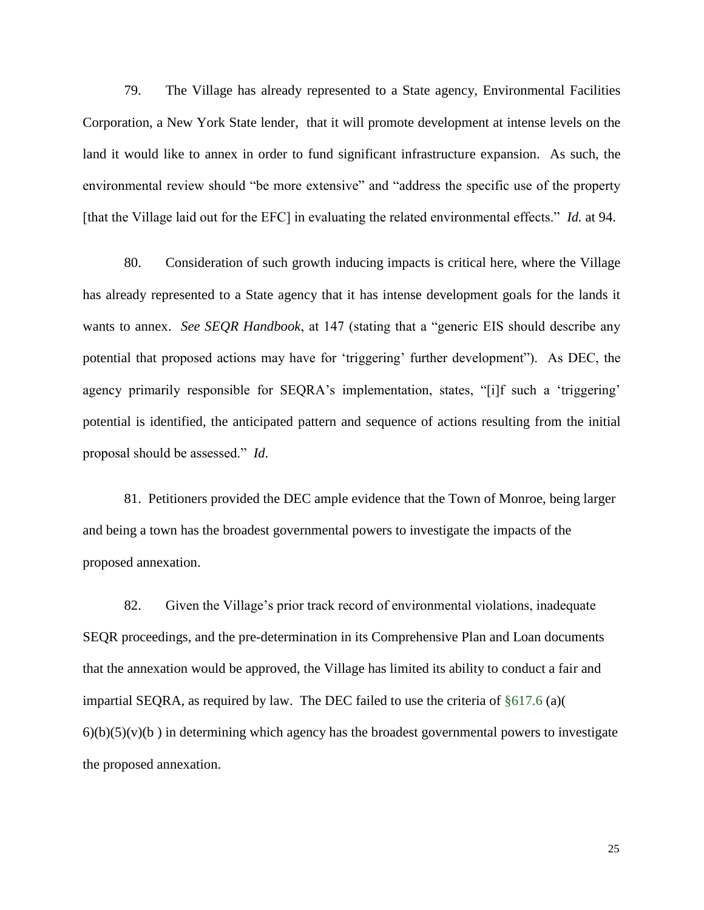79. The Village has already represented to a State agency, Environmental Facilities Corporation, a New York State lender, that it will promote development at intense levels on the land it would like to annex in order to fund significant infrastructure expansion. As such, the environmental review should "be more extensive" and "address the specific use of the property [that the Village laid out for the EFC] in evaluating the related environmental effects." *Id.* at 94.

80. Consideration of such growth inducing impacts is critical here, where the Village has already represented to a State agency that it has intense development goals for the lands it wants to annex. *See SEQR Handbook*, at 147 (stating that a "generic EIS should describe any potential that proposed actions may have for 'triggering' further development"). As DEC, the agency primarily responsible for SEQRA's implementation, states, "[i]f such a 'triggering' potential is identified, the anticipated pattern and sequence of actions resulting from the initial proposal should be assessed." *Id*.

81. Petitioners provided the DEC ample evidence that the Town of Monroe, being larger and being a town has the broadest governmental powers to investigate the impacts of the proposed annexation.

82. Given the Village's prior track record of environmental violations, inadequate SEQR proceedings, and the pre-determination in its Comprehensive Plan and Loan documents that the annexation would be approved, the Village has limited its ability to conduct a fair and impartial SEQRA, as required by law. The DEC failed to use the criteria of §617.6 (a)(  $6)(b)(5)(v)(b)$  in determining which agency has the broadest governmental powers to investigate the proposed annexation.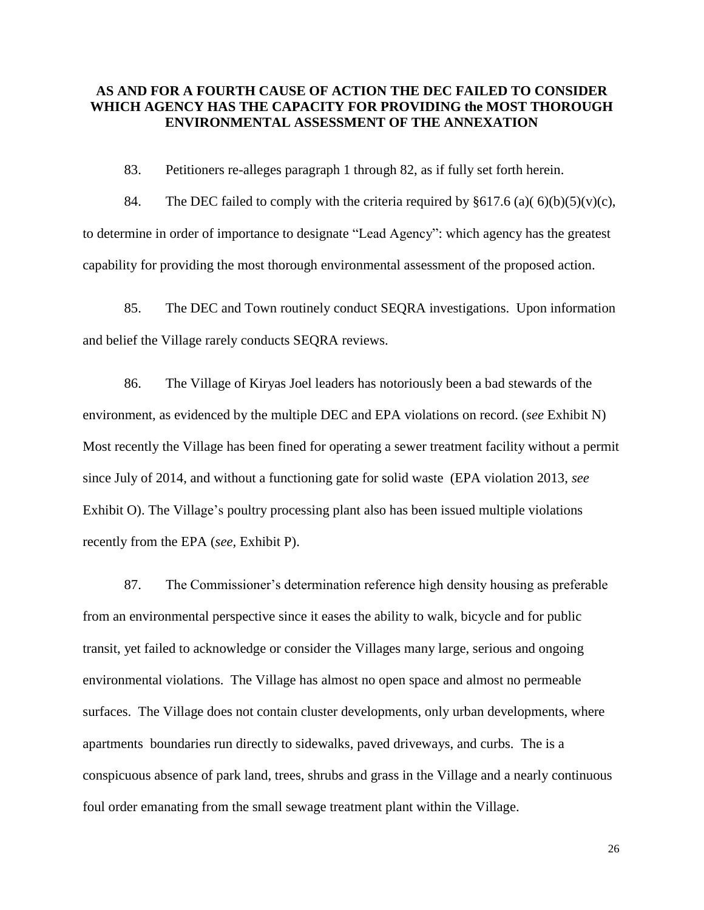# **AS AND FOR A FOURTH CAUSE OF ACTION THE DEC FAILED TO CONSIDER WHICH AGENCY HAS THE CAPACITY FOR PROVIDING the MOST THOROUGH ENVIRONMENTAL ASSESSMENT OF THE ANNEXATION**

83. Petitioners re-alleges paragraph 1 through 82, as if fully set forth herein.

84. The DEC failed to comply with the criteria required by  $§617.6$  (a)(6)(b)(5)(v)(c), to determine in order of importance to designate "Lead Agency": which agency has the greatest capability for providing the most thorough environmental assessment of the proposed action.

85. The DEC and Town routinely conduct SEQRA investigations. Upon information and belief the Village rarely conducts SEQRA reviews.

86. The Village of Kiryas Joel leaders has notoriously been a bad stewards of the environment, as evidenced by the multiple DEC and EPA violations on record. (*see* Exhibit N) Most recently the Village has been fined for operating a sewer treatment facility without a permit since July of 2014, and without a functioning gate for solid waste (EPA violation 2013, *see* Exhibit O). The Village's poultry processing plant also has been issued multiple violations recently from the EPA (*see,* Exhibit P).

87. The Commissioner's determination reference high density housing as preferable from an environmental perspective since it eases the ability to walk, bicycle and for public transit, yet failed to acknowledge or consider the Villages many large, serious and ongoing environmental violations. The Village has almost no open space and almost no permeable surfaces. The Village does not contain cluster developments, only urban developments, where apartments boundaries run directly to sidewalks, paved driveways, and curbs. The is a conspicuous absence of park land, trees, shrubs and grass in the Village and a nearly continuous foul order emanating from the small sewage treatment plant within the Village.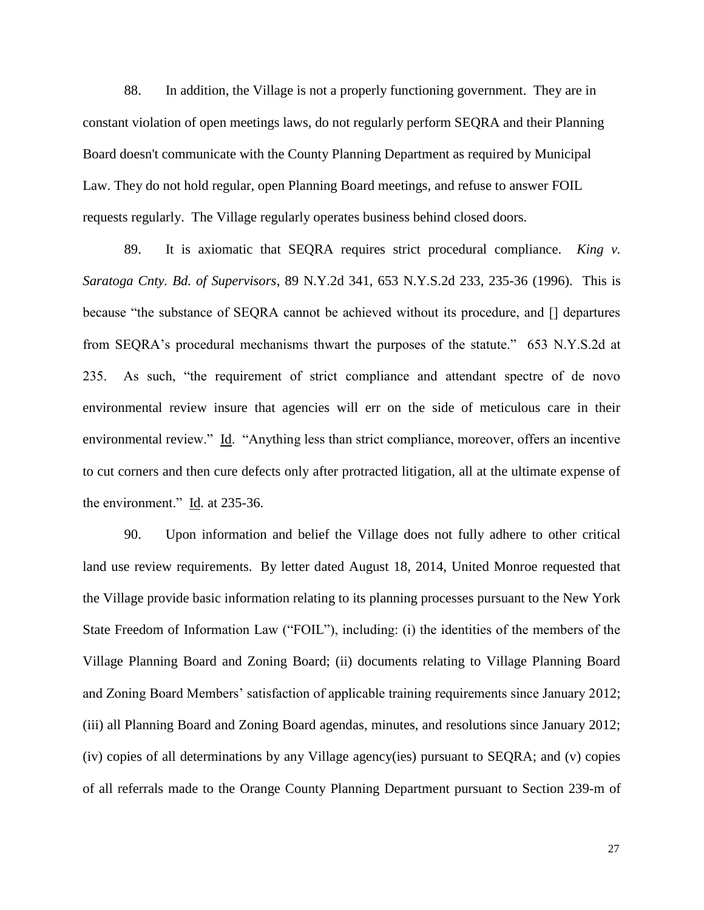88. In addition, the Village is not a properly functioning government. They are in constant violation of open meetings laws, do not regularly perform SEQRA and their Planning Board doesn't communicate with the County Planning Department as required by Municipal Law. They do not hold regular, open Planning Board meetings, and refuse to answer FOIL requests regularly. The Village regularly operates business behind closed doors.

89. It is axiomatic that SEQRA requires strict procedural compliance. *King v. Saratoga Cnty. Bd. of Supervisors*, 89 N.Y.2d 341, 653 N.Y.S.2d 233, 235-36 (1996). This is because "the substance of SEQRA cannot be achieved without its procedure, and [] departures from SEQRA's procedural mechanisms thwart the purposes of the statute." 653 N.Y.S.2d at 235. As such, "the requirement of strict compliance and attendant spectre of de novo environmental review insure that agencies will err on the side of meticulous care in their environmental review." Id. "Anything less than strict compliance, moreover, offers an incentive to cut corners and then cure defects only after protracted litigation, all at the ultimate expense of the environment." Id. at 235-36.

90. Upon information and belief the Village does not fully adhere to other critical land use review requirements. By letter dated August 18, 2014, United Monroe requested that the Village provide basic information relating to its planning processes pursuant to the New York State Freedom of Information Law ("FOIL"), including: (i) the identities of the members of the Village Planning Board and Zoning Board; (ii) documents relating to Village Planning Board and Zoning Board Members' satisfaction of applicable training requirements since January 2012; (iii) all Planning Board and Zoning Board agendas, minutes, and resolutions since January 2012; (iv) copies of all determinations by any Village agency(ies) pursuant to SEQRA; and (v) copies of all referrals made to the Orange County Planning Department pursuant to Section 239-m of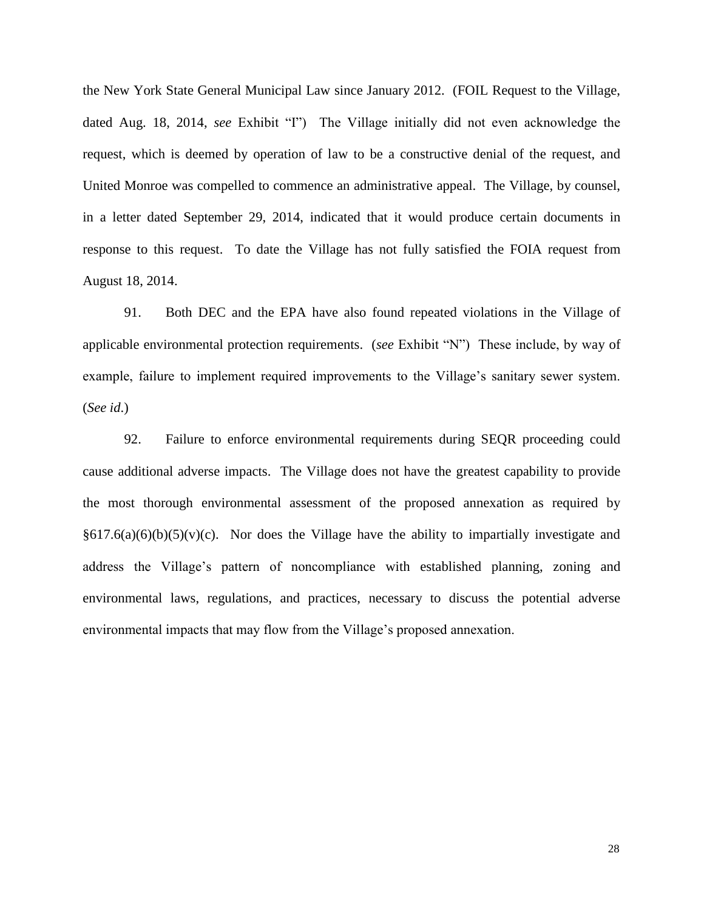the New York State General Municipal Law since January 2012. (FOIL Request to the Village, dated Aug. 18, 2014, *see* Exhibit "I") The Village initially did not even acknowledge the request, which is deemed by operation of law to be a constructive denial of the request, and United Monroe was compelled to commence an administrative appeal. The Village, by counsel, in a letter dated September 29, 2014, indicated that it would produce certain documents in response to this request. To date the Village has not fully satisfied the FOIA request from August 18, 2014.

91. Both DEC and the EPA have also found repeated violations in the Village of applicable environmental protection requirements. (*see* Exhibit "N") These include, by way of example, failure to implement required improvements to the Village's sanitary sewer system. (*See id*.)

92. Failure to enforce environmental requirements during SEQR proceeding could cause additional adverse impacts. The Village does not have the greatest capability to provide the most thorough environmental assessment of the proposed annexation as required by  $§617.6(a)(6)(b)(5)(v)(c)$ . Nor does the Village have the ability to impartially investigate and address the Village's pattern of noncompliance with established planning, zoning and environmental laws, regulations, and practices, necessary to discuss the potential adverse environmental impacts that may flow from the Village's proposed annexation.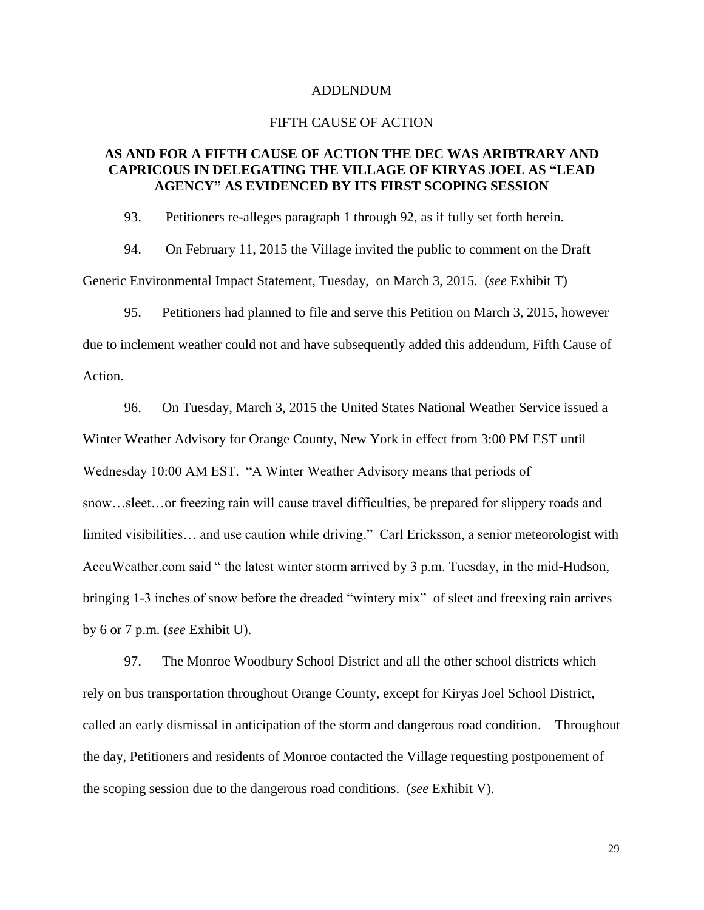#### ADDENDUM

#### FIFTH CAUSE OF ACTION

## **AS AND FOR A FIFTH CAUSE OF ACTION THE DEC WAS ARIBTRARY AND CAPRICOUS IN DELEGATING THE VILLAGE OF KIRYAS JOEL AS "LEAD AGENCY" AS EVIDENCED BY ITS FIRST SCOPING SESSION**

93. Petitioners re-alleges paragraph 1 through 92, as if fully set forth herein.

94. On February 11, 2015 the Village invited the public to comment on the Draft Generic Environmental Impact Statement, Tuesday, on March 3, 2015. (*see* Exhibit T)

95. Petitioners had planned to file and serve this Petition on March 3, 2015, however due to inclement weather could not and have subsequently added this addendum, Fifth Cause of Action.

96. On Tuesday, March 3, 2015 the United States National Weather Service issued a Winter Weather Advisory for Orange County, New York in effect from 3:00 PM EST until Wednesday 10:00 AM EST. "A Winter Weather Advisory means that periods of snow…sleet…or freezing rain will cause travel difficulties, be prepared for slippery roads and limited visibilities… and use caution while driving." Carl Ericksson, a senior meteorologist with AccuWeather.com said " the latest winter storm arrived by 3 p.m. Tuesday, in the mid-Hudson, bringing 1-3 inches of snow before the dreaded "wintery mix" of sleet and freexing rain arrives by 6 or 7 p.m. (*see* Exhibit U).

97. The Monroe Woodbury School District and all the other school districts which rely on bus transportation throughout Orange County, except for Kiryas Joel School District, called an early dismissal in anticipation of the storm and dangerous road condition. Throughout the day, Petitioners and residents of Monroe contacted the Village requesting postponement of the scoping session due to the dangerous road conditions. (*see* Exhibit V).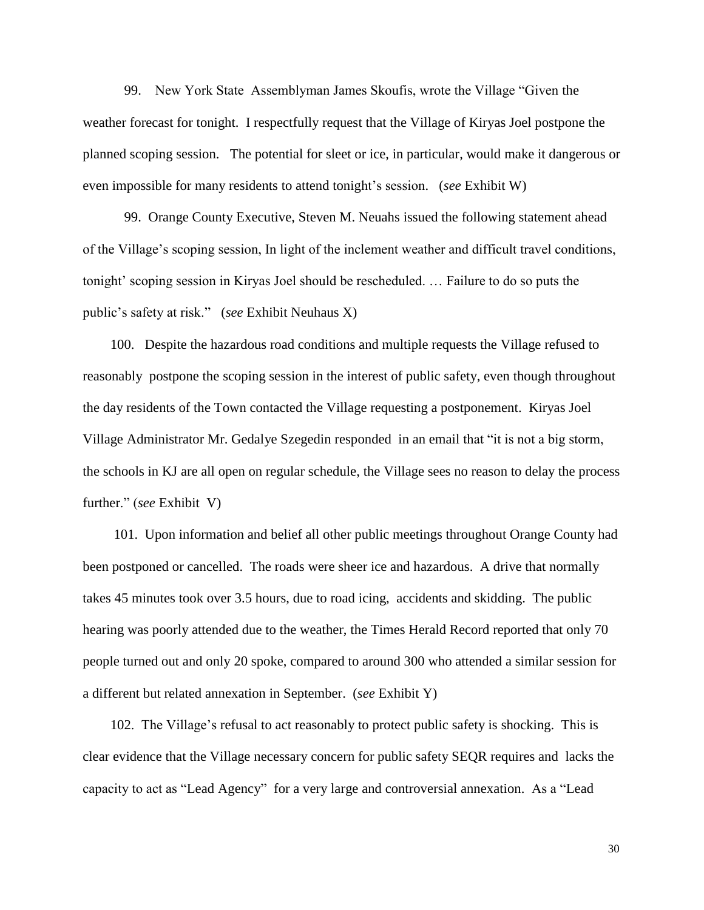99. New York State Assemblyman James Skoufis, wrote the Village "Given the weather forecast for tonight. I respectfully request that the Village of Kiryas Joel postpone the planned scoping session. The potential for sleet or ice, in particular, would make it dangerous or even impossible for many residents to attend tonight's session. (*see* Exhibit W)

99. Orange County Executive, Steven M. Neuahs issued the following statement ahead of the Village's scoping session, In light of the inclement weather and difficult travel conditions, tonight' scoping session in Kiryas Joel should be rescheduled. … Failure to do so puts the public's safety at risk." (*see* Exhibit Neuhaus X)

 100. Despite the hazardous road conditions and multiple requests the Village refused to reasonably postpone the scoping session in the interest of public safety, even though throughout the day residents of the Town contacted the Village requesting a postponement. Kiryas Joel Village Administrator Mr. Gedalye Szegedin responded in an email that "it is not a big storm, the schools in KJ are all open on regular schedule, the Village sees no reason to delay the process further." (*see* Exhibit V)

 101. Upon information and belief all other public meetings throughout Orange County had been postponed or cancelled. The roads were sheer ice and hazardous. A drive that normally takes 45 minutes took over 3.5 hours, due to road icing, accidents and skidding. The public hearing was poorly attended due to the weather, the Times Herald Record reported that only 70 people turned out and only 20 spoke, compared to around 300 who attended a similar session for a different but related annexation in September. (*see* Exhibit Y)

 102. The Village's refusal to act reasonably to protect public safety is shocking. This is clear evidence that the Village necessary concern for public safety SEQR requires and lacks the capacity to act as "Lead Agency" for a very large and controversial annexation. As a "Lead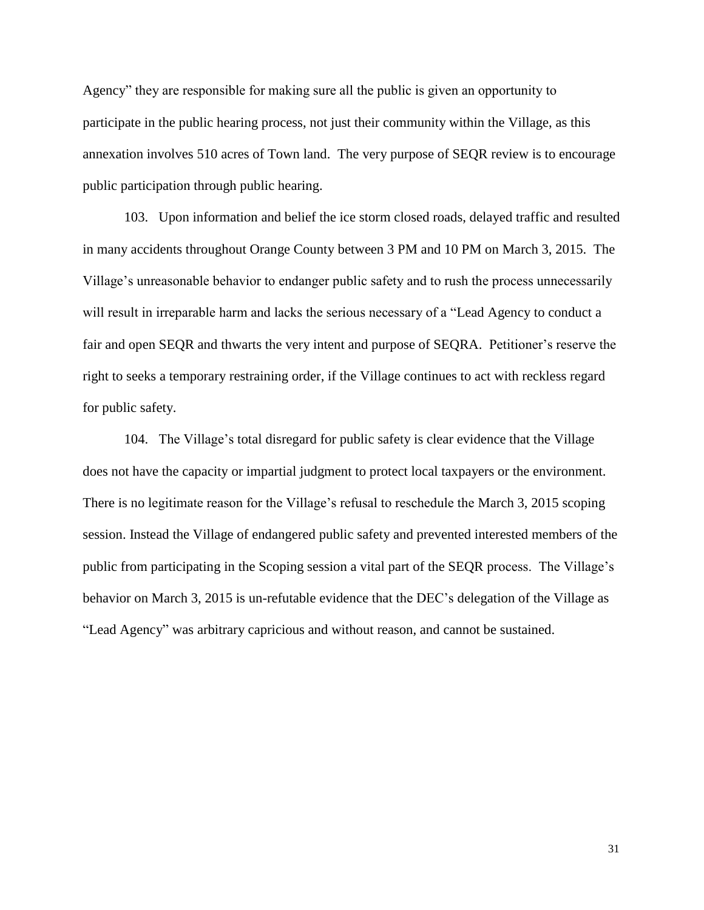Agency" they are responsible for making sure all the public is given an opportunity to participate in the public hearing process, not just their community within the Village, as this annexation involves 510 acres of Town land. The very purpose of SEQR review is to encourage public participation through public hearing.

103. Upon information and belief the ice storm closed roads, delayed traffic and resulted in many accidents throughout Orange County between 3 PM and 10 PM on March 3, 2015. The Village's unreasonable behavior to endanger public safety and to rush the process unnecessarily will result in irreparable harm and lacks the serious necessary of a "Lead Agency to conduct a fair and open SEQR and thwarts the very intent and purpose of SEQRA. Petitioner's reserve the right to seeks a temporary restraining order, if the Village continues to act with reckless regard for public safety.

104. The Village's total disregard for public safety is clear evidence that the Village does not have the capacity or impartial judgment to protect local taxpayers or the environment. There is no legitimate reason for the Village's refusal to reschedule the March 3, 2015 scoping session. Instead the Village of endangered public safety and prevented interested members of the public from participating in the Scoping session a vital part of the SEQR process. The Village's behavior on March 3, 2015 is un-refutable evidence that the DEC's delegation of the Village as "Lead Agency" was arbitrary capricious and without reason, and cannot be sustained.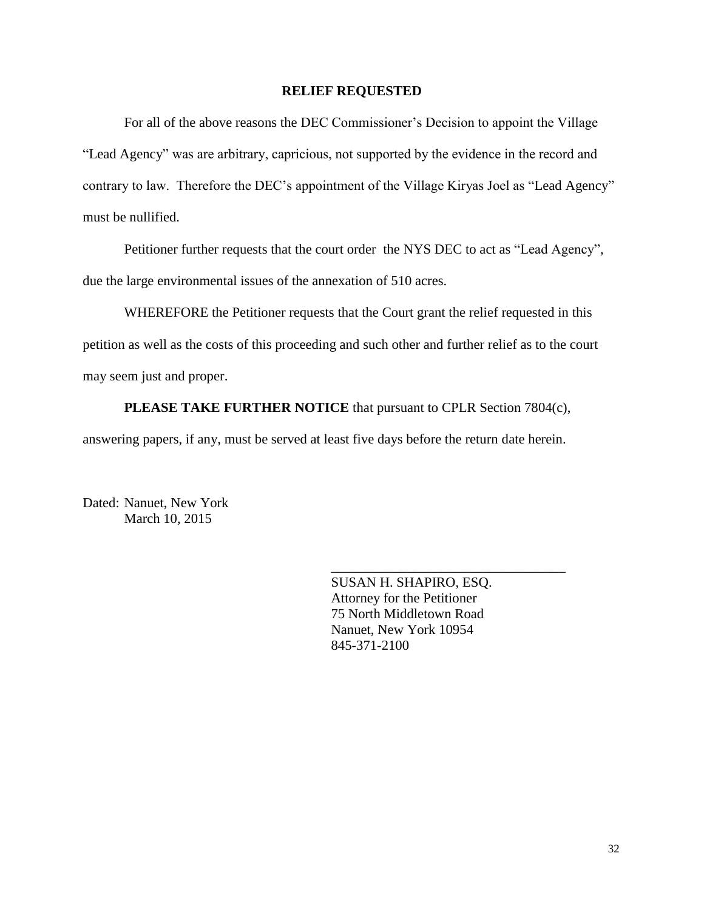#### **RELIEF REQUESTED**

For all of the above reasons the DEC Commissioner's Decision to appoint the Village "Lead Agency" was are arbitrary, capricious, not supported by the evidence in the record and contrary to law. Therefore the DEC's appointment of the Village Kiryas Joel as "Lead Agency" must be nullified.

Petitioner further requests that the court order the NYS DEC to act as "Lead Agency", due the large environmental issues of the annexation of 510 acres.

WHEREFORE the Petitioner requests that the Court grant the relief requested in this petition as well as the costs of this proceeding and such other and further relief as to the court may seem just and proper.

**PLEASE TAKE FURTHER NOTICE** that pursuant to CPLR Section 7804(c),

answering papers, if any, must be served at least five days before the return date herein.

Dated: Nanuet, New York March 10, 2015

> SUSAN H. SHAPIRO, ESQ. Attorney for the Petitioner 75 North Middletown Road Nanuet, New York 10954 845-371-2100

\_\_\_\_\_\_\_\_\_\_\_\_\_\_\_\_\_\_\_\_\_\_\_\_\_\_\_\_\_\_\_\_\_\_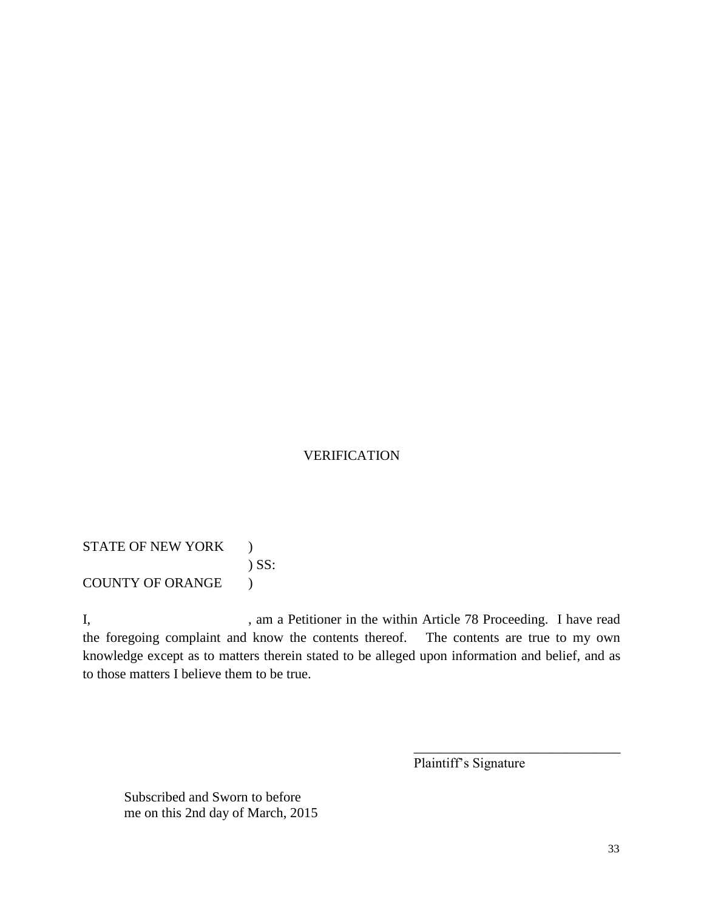# VERIFICATION

STATE OF NEW YORK ) ) SS: COUNTY OF ORANGE )

I, am a Petitioner in the within Article 78 Proceeding. I have read the foregoing complaint and know the contents thereof. The contents are true to my own knowledge except as to matters therein stated to be alleged upon information and belief, and as to those matters I believe them to be true.

Plaintiff's Signature

\_\_\_\_\_\_\_\_\_\_\_\_\_\_\_\_\_\_\_\_\_\_\_\_\_\_\_\_\_\_

Subscribed and Sworn to before me on this 2nd day of March, 2015